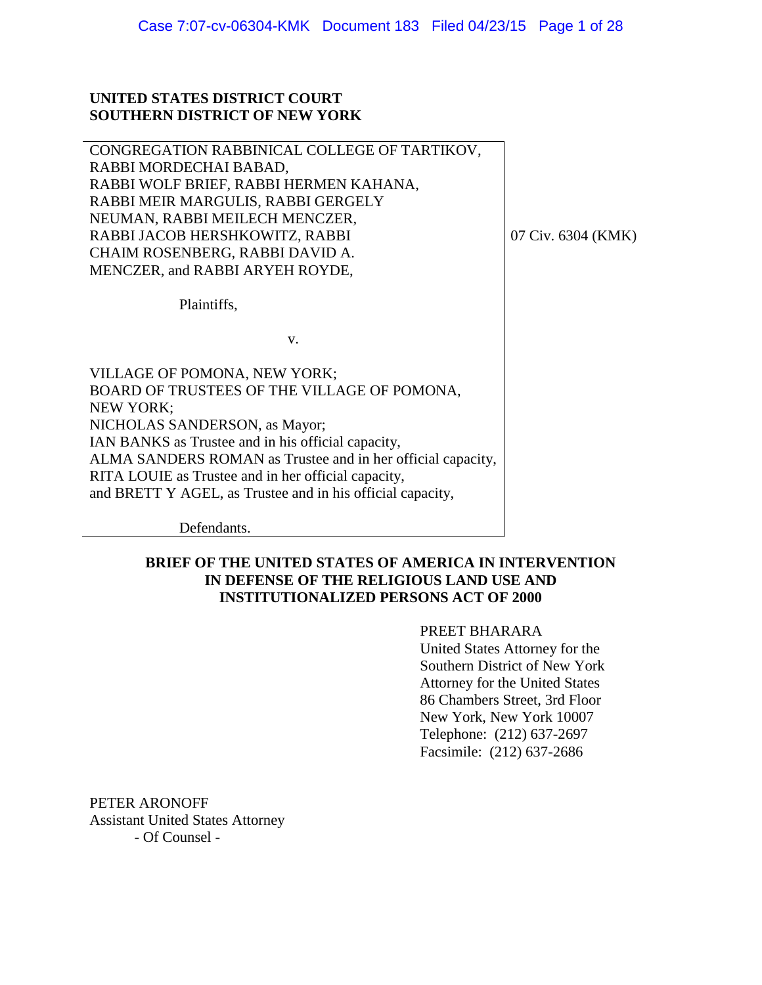## **UNITED STATES DISTRICT COURT SOUTHERN DISTRICT OF NEW YORK**

CONGREGATION RABBINICAL COLLEGE OF TARTIKOV, RABBI MORDECHAI BABAD, RABBI WOLF BRIEF, RABBI HERMEN KAHANA, RABBI MEIR MARGULIS, RABBI GERGELY NEUMAN, RABBI MEILECH MENCZER, RABBI JACOB HERSHKOWITZ, RABBI CHAIM ROSENBERG, RABBI DAVID A. MENCZER, and RABBI ARYEH ROYDE,

07 Civ. 6304 (KMK)

Plaintiffs,

v.

VILLAGE OF POMONA, NEW YORK; BOARD OF TRUSTEES OF THE VILLAGE OF POMONA, NEW YORK; NICHOLAS SANDERSON, as Mayor; IAN BANKS as Trustee and in his official capacity, ALMA SANDERS ROMAN as Trustee and in her official capacity, RITA LOUIE as Trustee and in her official capacity, and BRETT Y AGEL, as Trustee and in his official capacity,

Defendants.

# **BRIEF OF THE UNITED STATES OF AMERICA IN INTERVENTION IN DEFENSE OF THE RELIGIOUS LAND USE AND INSTITUTIONALIZED PERSONS ACT OF 2000**

# PREET BHARARA

United States Attorney for the Southern District of New York Attorney for the United States 86 Chambers Street, 3rd Floor New York, New York 10007 Telephone: (212) 637-2697 Facsimile: (212) 637-2686

PETER ARONOFF Assistant United States Attorney - Of Counsel -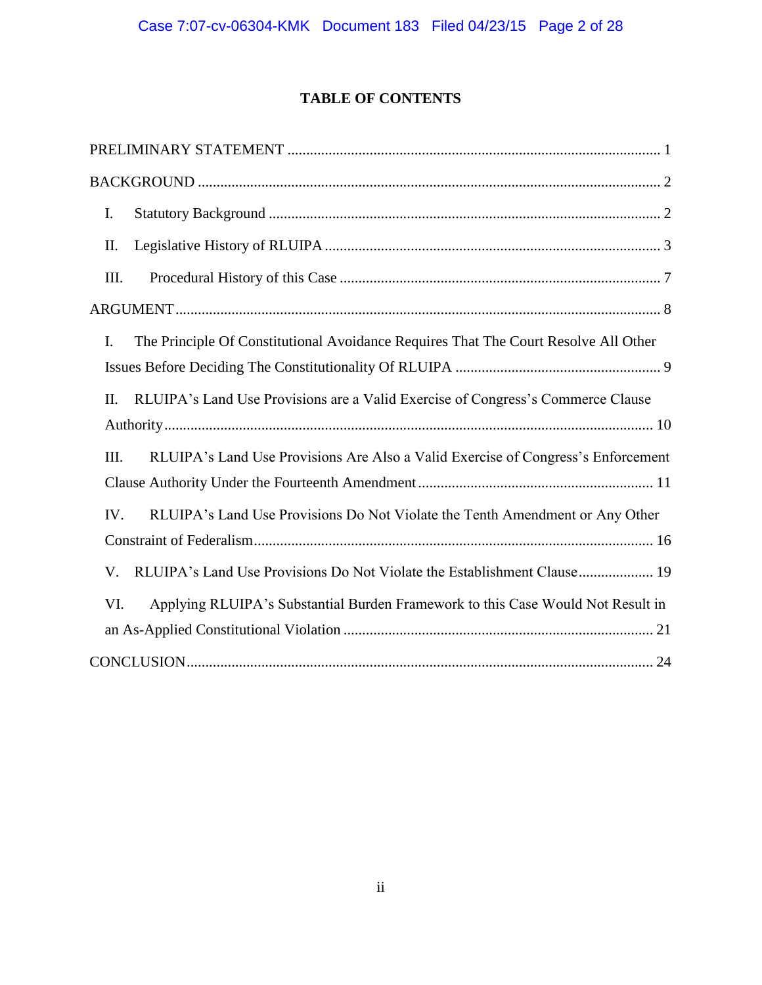# **TABLE OF CONTENTS**

| I.   |                                                                                     |  |
|------|-------------------------------------------------------------------------------------|--|
| II.  |                                                                                     |  |
| Ш.   |                                                                                     |  |
|      |                                                                                     |  |
| I.   | The Principle Of Constitutional Avoidance Requires That The Court Resolve All Other |  |
|      |                                                                                     |  |
| II.  | RLUIPA's Land Use Provisions are a Valid Exercise of Congress's Commerce Clause     |  |
|      |                                                                                     |  |
| III. | RLUIPA's Land Use Provisions Are Also a Valid Exercise of Congress's Enforcement    |  |
|      |                                                                                     |  |
| IV.  | RLUIPA's Land Use Provisions Do Not Violate the Tenth Amendment or Any Other        |  |
|      |                                                                                     |  |
| V.   |                                                                                     |  |
| VI.  | Applying RLUIPA's Substantial Burden Framework to this Case Would Not Result in     |  |
|      |                                                                                     |  |
|      |                                                                                     |  |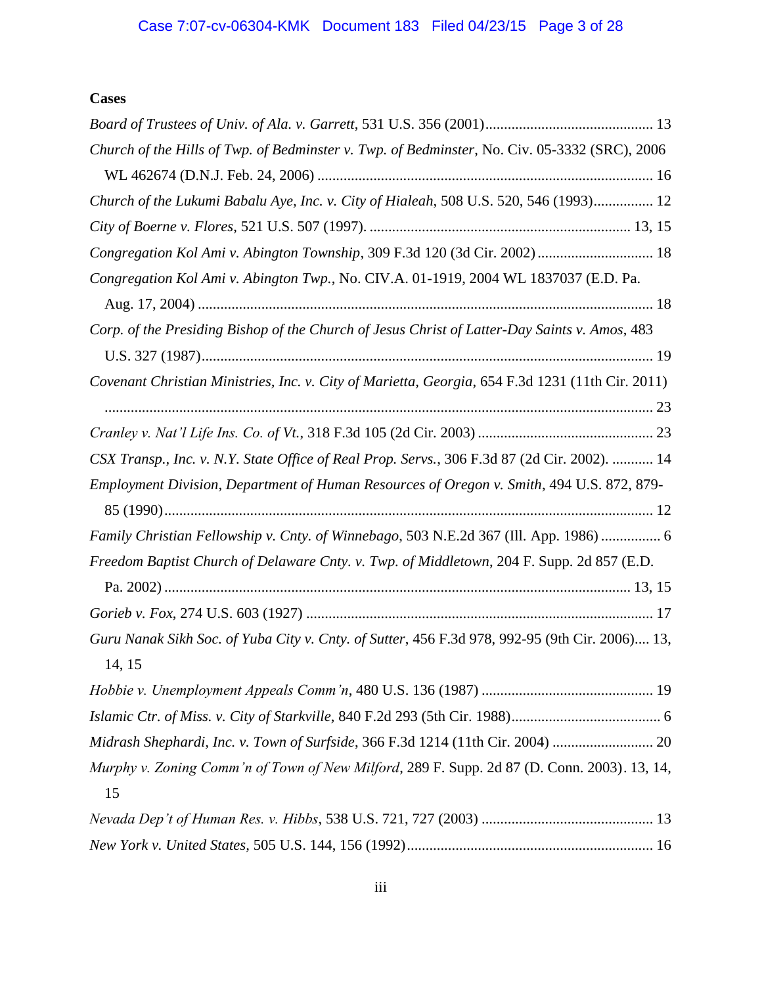# **Cases**

| Church of the Hills of Twp. of Bedminster v. Twp. of Bedminster, No. Civ. 05-3332 (SRC), 2006    |
|--------------------------------------------------------------------------------------------------|
|                                                                                                  |
| Church of the Lukumi Babalu Aye, Inc. v. City of Hialeah, 508 U.S. 520, 546 (1993) 12            |
|                                                                                                  |
| Congregation Kol Ami v. Abington Township, 309 F.3d 120 (3d Cir. 2002)  18                       |
| Congregation Kol Ami v. Abington Twp., No. CIV.A. 01-1919, 2004 WL 1837037 (E.D. Pa.             |
|                                                                                                  |
| Corp. of the Presiding Bishop of the Church of Jesus Christ of Latter-Day Saints v. Amos, 483    |
|                                                                                                  |
| Covenant Christian Ministries, Inc. v. City of Marietta, Georgia, 654 F.3d 1231 (11th Cir. 2011) |
|                                                                                                  |
|                                                                                                  |
| CSX Transp., Inc. v. N.Y. State Office of Real Prop. Servs., 306 F.3d 87 (2d Cir. 2002).  14     |
| Employment Division, Department of Human Resources of Oregon v. Smith, 494 U.S. 872, 879-        |
|                                                                                                  |
| Family Christian Fellowship v. Cnty. of Winnebago, 503 N.E.2d 367 (Ill. App. 1986)  6            |
| Freedom Baptist Church of Delaware Cnty. v. Twp. of Middletown, 204 F. Supp. 2d 857 (E.D.        |
|                                                                                                  |
|                                                                                                  |
| Guru Nanak Sikh Soc. of Yuba City v. Cnty. of Sutter, 456 F.3d 978, 992-95 (9th Cir. 2006) 13,   |
| 14, 15                                                                                           |
|                                                                                                  |
|                                                                                                  |
| Midrash Shephardi, Inc. v. Town of Surfside, 366 F.3d 1214 (11th Cir. 2004)  20                  |
| Murphy v. Zoning Comm'n of Town of New Milford, 289 F. Supp. 2d 87 (D. Conn. 2003). 13, 14,      |
| 15                                                                                               |
|                                                                                                  |
|                                                                                                  |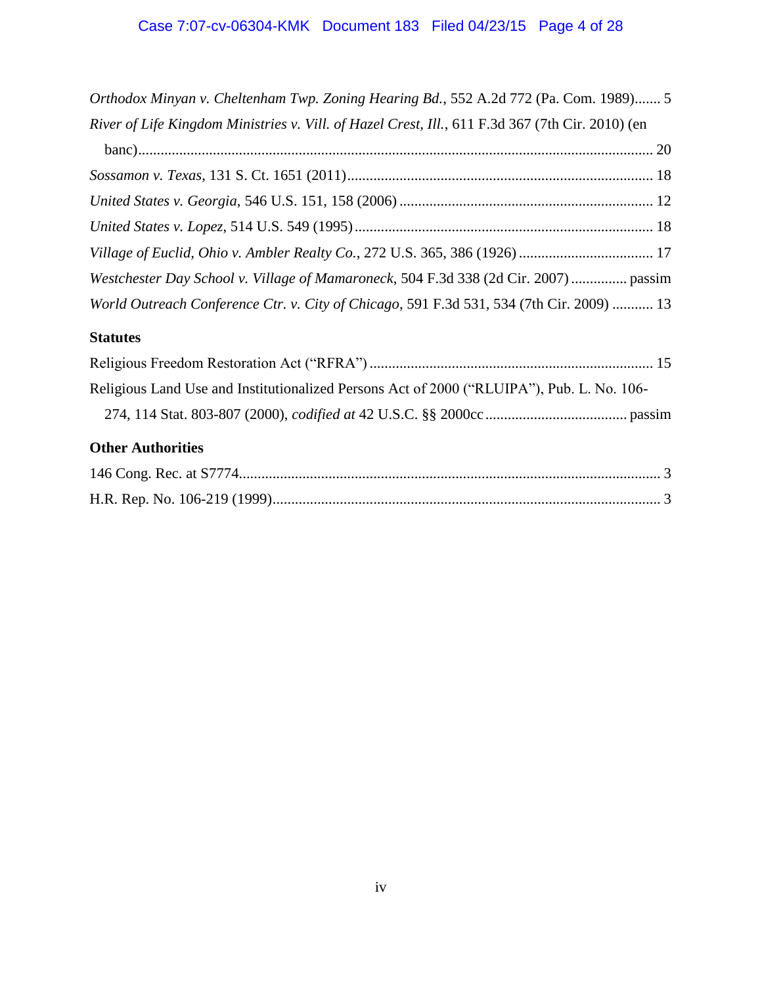| Orthodox Minyan v. Cheltenham Twp. Zoning Hearing Bd., 552 A.2d 772 (Pa. Com. 1989) 5            |
|--------------------------------------------------------------------------------------------------|
| River of Life Kingdom Ministries v. Vill. of Hazel Crest, Ill., 611 F.3d 367 (7th Cir. 2010) (en |
|                                                                                                  |
|                                                                                                  |
|                                                                                                  |
|                                                                                                  |
| Village of Euclid, Ohio v. Ambler Realty Co., 272 U.S. 365, 386 (1926)  17                       |
| Westchester Day School v. Village of Mamaroneck, 504 F.3d 338 (2d Cir. 2007)  passim             |
| World Outreach Conference Ctr. v. City of Chicago, 591 F.3d 531, 534 (7th Cir. 2009)  13         |
| <b>Statutes</b>                                                                                  |
|                                                                                                  |
| Religious Land Use and Institutionalized Persons Act of 2000 ("RLUIPA"), Pub. L. No. 106-        |
|                                                                                                  |
| <b>Other Authorities</b>                                                                         |
|                                                                                                  |
|                                                                                                  |
|                                                                                                  |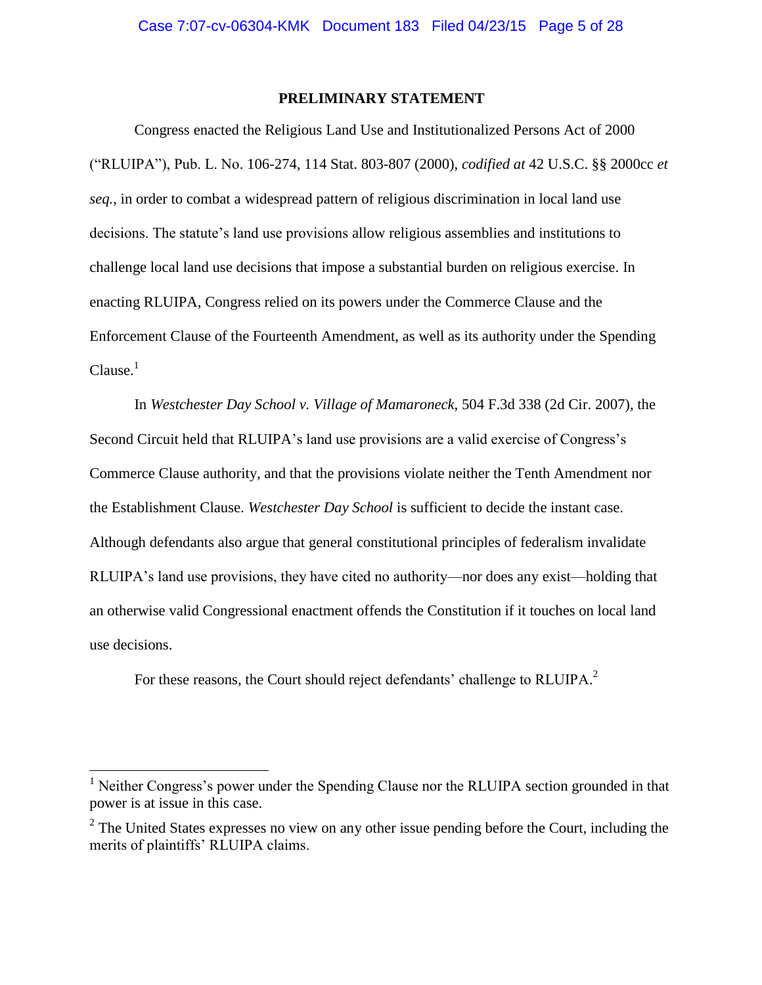### **PRELIMINARY STATEMENT**

<span id="page-4-0"></span>Congress enacted the Religious Land Use and Institutionalized Persons Act of 2000 ("RLUIPA"), Pub. L. No. 106-274, 114 Stat. 803-807 (2000), *codified at* 42 U.S.C. §§ 2000cc *et seq.*, in order to combat a widespread pattern of religious discrimination in local land use decisions. The statute's land use provisions allow religious assemblies and institutions to challenge local land use decisions that impose a substantial burden on religious exercise. In enacting RLUIPA, Congress relied on its powers under the Commerce Clause and the Enforcement Clause of the Fourteenth Amendment, as well as its authority under the Spending  $Clause.<sup>1</sup>$ 

In *Westchester Day School v. Village of Mamaroneck*, 504 F.3d 338 (2d Cir. 2007), the Second Circuit held that RLUIPA's land use provisions are a valid exercise of Congress's Commerce Clause authority, and that the provisions violate neither the Tenth Amendment nor the Establishment Clause. *Westchester Day School* is sufficient to decide the instant case. Although defendants also argue that general constitutional principles of federalism invalidate RLUIPA's land use provisions, they have cited no authority—nor does any exist—holding that an otherwise valid Congressional enactment offends the Constitution if it touches on local land use decisions.

For these reasons, the Court should reject defendants' challenge to RLUIPA.<sup>2</sup>

<sup>&</sup>lt;sup>1</sup> Neither Congress's power under the Spending Clause nor the RLUIPA section grounded in that power is at issue in this case.

 $2^2$  The United States expresses no view on any other issue pending before the Court, including the merits of plaintiffs' RLUIPA claims.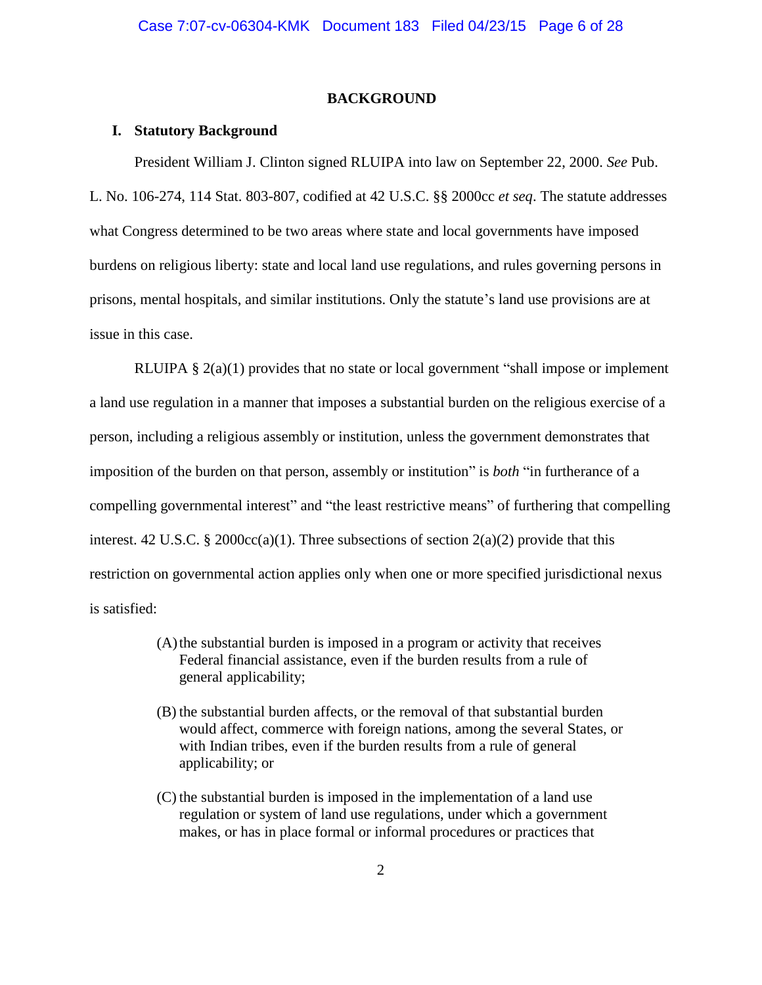### **BACKGROUND**

#### <span id="page-5-1"></span><span id="page-5-0"></span>**I. Statutory Background**

President William J. Clinton signed RLUIPA into law on September 22, 2000. *See* Pub. L. No. 106-274, 114 Stat. 803-807, codified at 42 U.S.C. §§ 2000cc *et seq*. The statute addresses what Congress determined to be two areas where state and local governments have imposed burdens on religious liberty: state and local land use regulations, and rules governing persons in prisons, mental hospitals, and similar institutions. Only the statute's land use provisions are at issue in this case.

RLUIPA § 2(a)(1) provides that no state or local government "shall impose or implement a land use regulation in a manner that imposes a substantial burden on the religious exercise of a person, including a religious assembly or institution, unless the government demonstrates that imposition of the burden on that person, assembly or institution" is *both* "in furtherance of a compelling governmental interest" and "the least restrictive means" of furthering that compelling interest. 42 U.S.C. § 2000 $\text{cc}(a)(1)$ . Three subsections of section 2(a)(2) provide that this restriction on governmental action applies only when one or more specified jurisdictional nexus is satisfied:

- (A)the substantial burden is imposed in a program or activity that receives Federal financial assistance, even if the burden results from a rule of general applicability;
- (B) the substantial burden affects, or the removal of that substantial burden would affect, commerce with foreign nations, among the several States, or with Indian tribes, even if the burden results from a rule of general applicability; or
- (C) the substantial burden is imposed in the implementation of a land use regulation or system of land use regulations, under which a government makes, or has in place formal or informal procedures or practices that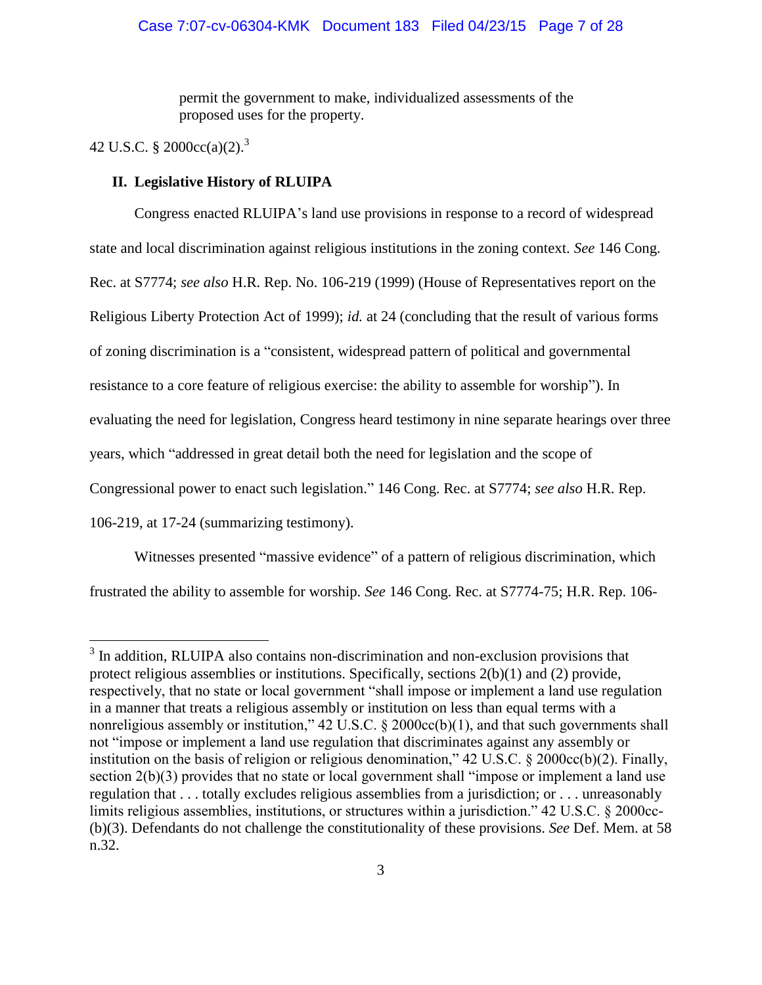permit the government to make, individualized assessments of the proposed uses for the property.

# 42 U.S.C. § 2000cc(a)(2).<sup>3</sup>

 $\overline{a}$ 

### <span id="page-6-0"></span>**II. Legislative History of RLUIPA**

Congress enacted RLUIPA's land use provisions in response to a record of widespread state and local discrimination against religious institutions in the zoning context. *See* 146 Cong. Rec. at S7774; *see also* H.R. Rep. No. 106-219 (1999) (House of Representatives report on the Religious Liberty Protection Act of 1999); *id.* at 24 (concluding that the result of various forms of zoning discrimination is a "consistent, widespread pattern of political and governmental resistance to a core feature of religious exercise: the ability to assemble for worship"). In evaluating the need for legislation, Congress heard testimony in nine separate hearings over three years, which "addressed in great detail both the need for legislation and the scope of Congressional power to enact such legislation." 146 Cong. Rec. at S7774; *see also* H.R. Rep. 106-219, at 17-24 (summarizing testimony).

Witnesses presented "massive evidence" of a pattern of religious discrimination, which frustrated the ability to assemble for worship. *See* 146 Cong. Rec. at S7774-75; H.R. Rep. 106-

<sup>&</sup>lt;sup>3</sup> In addition, RLUIPA also contains non-discrimination and non-exclusion provisions that protect religious assemblies or institutions. Specifically, sections 2(b)(1) and (2) provide, respectively, that no state or local government "shall impose or implement a land use regulation in a manner that treats a religious assembly or institution on less than equal terms with a nonreligious assembly or institution,"  $42 \text{ U.S.C.}$  §  $2000 \text{cc}(b)(1)$ , and that such governments shall not "impose or implement a land use regulation that discriminates against any assembly or institution on the basis of religion or religious denomination," 42 U.S.C. § 2000cc(b)(2). Finally, section 2(b)(3) provides that no state or local government shall "impose or implement a land use regulation that . . . totally excludes religious assemblies from a jurisdiction; or . . . unreasonably limits religious assemblies, institutions, or structures within a jurisdiction." 42 U.S.C. § 2000cc- (b)(3). Defendants do not challenge the constitutionality of these provisions. *See* Def. Mem. at 58 n.32.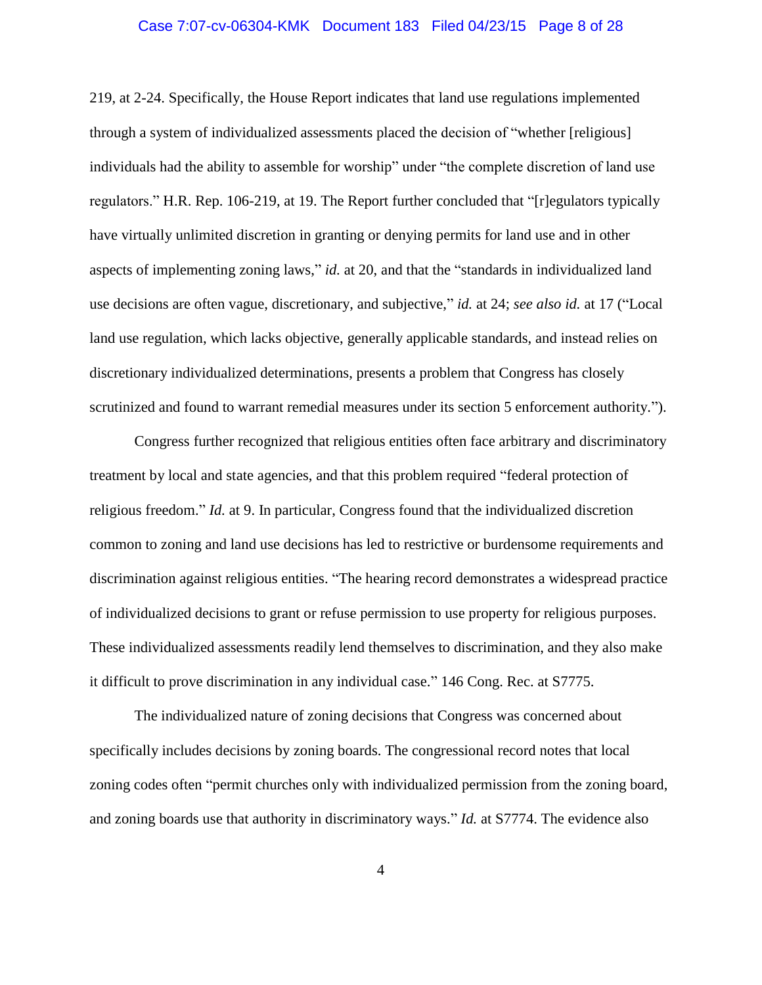### Case 7:07-cv-06304-KMK Document 183 Filed 04/23/15 Page 8 of 28

219, at 2-24. Specifically, the House Report indicates that land use regulations implemented through a system of individualized assessments placed the decision of "whether [religious] individuals had the ability to assemble for worship" under "the complete discretion of land use regulators." H.R. Rep. 106-219, at 19. The Report further concluded that "[r]egulators typically have virtually unlimited discretion in granting or denying permits for land use and in other aspects of implementing zoning laws," *id.* at 20, and that the "standards in individualized land use decisions are often vague, discretionary, and subjective," *id.* at 24; *see also id.* at 17 ("Local land use regulation, which lacks objective, generally applicable standards, and instead relies on discretionary individualized determinations, presents a problem that Congress has closely scrutinized and found to warrant remedial measures under its section 5 enforcement authority.").

Congress further recognized that religious entities often face arbitrary and discriminatory treatment by local and state agencies, and that this problem required "federal protection of religious freedom." *Id.* at 9. In particular, Congress found that the individualized discretion common to zoning and land use decisions has led to restrictive or burdensome requirements and discrimination against religious entities. "The hearing record demonstrates a widespread practice of individualized decisions to grant or refuse permission to use property for religious purposes. These individualized assessments readily lend themselves to discrimination, and they also make it difficult to prove discrimination in any individual case." 146 Cong. Rec. at S7775.

The individualized nature of zoning decisions that Congress was concerned about specifically includes decisions by zoning boards. The congressional record notes that local zoning codes often "permit churches only with individualized permission from the zoning board, and zoning boards use that authority in discriminatory ways." *Id.* at S7774. The evidence also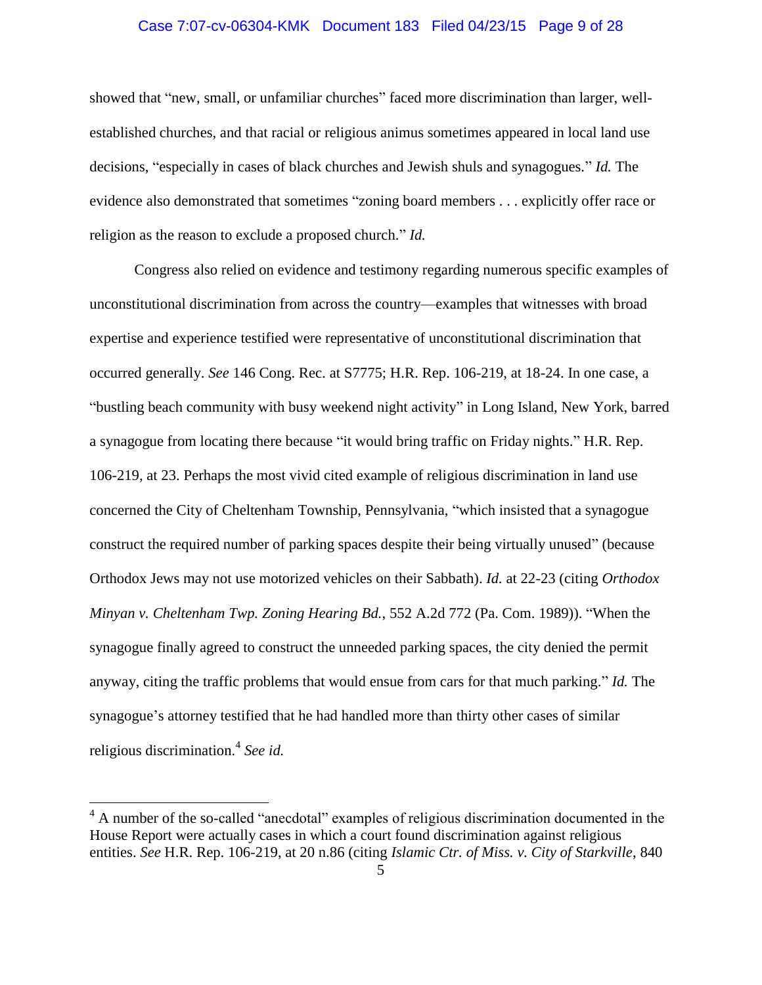### Case 7:07-cv-06304-KMK Document 183 Filed 04/23/15 Page 9 of 28

showed that "new, small, or unfamiliar churches" faced more discrimination than larger, wellestablished churches, and that racial or religious animus sometimes appeared in local land use decisions, "especially in cases of black churches and Jewish shuls and synagogues." *Id.* The evidence also demonstrated that sometimes "zoning board members . . . explicitly offer race or religion as the reason to exclude a proposed church." *Id.*

Congress also relied on evidence and testimony regarding numerous specific examples of unconstitutional discrimination from across the country—examples that witnesses with broad expertise and experience testified were representative of unconstitutional discrimination that occurred generally. *See* 146 Cong. Rec. at S7775; H.R. Rep. 106-219, at 18-24. In one case, a "bustling beach community with busy weekend night activity" in Long Island, New York, barred a synagogue from locating there because "it would bring traffic on Friday nights." H.R. Rep. 106-219, at 23. Perhaps the most vivid cited example of religious discrimination in land use concerned the City of Cheltenham Township, Pennsylvania, "which insisted that a synagogue construct the required number of parking spaces despite their being virtually unused" (because Orthodox Jews may not use motorized vehicles on their Sabbath). *Id.* at 22-23 (citing *Orthodox Minyan v. Cheltenham Twp. Zoning Hearing Bd.*, 552 A.2d 772 (Pa. Com. 1989)). "When the synagogue finally agreed to construct the unneeded parking spaces, the city denied the permit anyway, citing the traffic problems that would ensue from cars for that much parking." *Id.* The synagogue's attorney testified that he had handled more than thirty other cases of similar religious discrimination.<sup>4</sup> *See id.*

<sup>&</sup>lt;sup>4</sup> A number of the so-called "anecdotal" examples of religious discrimination documented in the House Report were actually cases in which a court found discrimination against religious entities. *See* H.R. Rep. 106-219, at 20 n.86 (citing *Islamic Ctr. of Miss. v. City of Starkville*, 840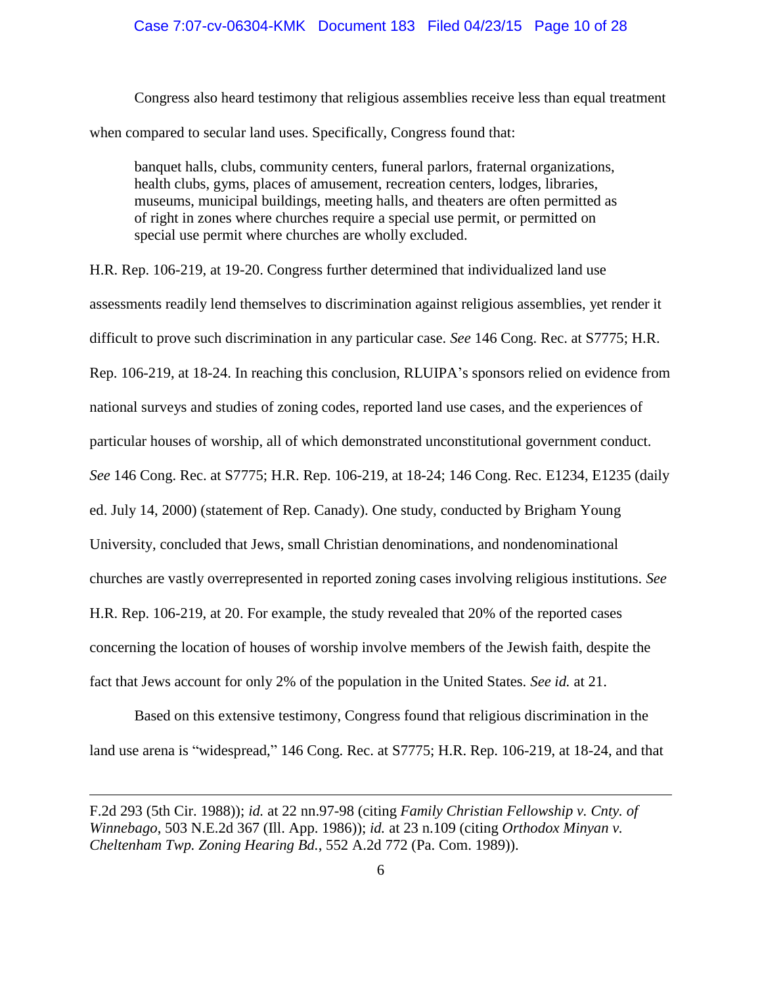### Case 7:07-cv-06304-KMK Document 183 Filed 04/23/15 Page 10 of 28

Congress also heard testimony that religious assemblies receive less than equal treatment when compared to secular land uses. Specifically, Congress found that:

banquet halls, clubs, community centers, funeral parlors, fraternal organizations, health clubs, gyms, places of amusement, recreation centers, lodges, libraries, museums, municipal buildings, meeting halls, and theaters are often permitted as of right in zones where churches require a special use permit, or permitted on special use permit where churches are wholly excluded.

H.R. Rep. 106-219, at 19-20. Congress further determined that individualized land use assessments readily lend themselves to discrimination against religious assemblies, yet render it difficult to prove such discrimination in any particular case. *See* 146 Cong. Rec. at S7775; H.R. Rep. 106-219, at 18-24. In reaching this conclusion, RLUIPA's sponsors relied on evidence from national surveys and studies of zoning codes, reported land use cases, and the experiences of particular houses of worship, all of which demonstrated unconstitutional government conduct. *See* 146 Cong. Rec. at S7775; H.R. Rep. 106-219, at 18-24; 146 Cong. Rec. E1234, E1235 (daily ed. July 14, 2000) (statement of Rep. Canady). One study, conducted by Brigham Young University, concluded that Jews, small Christian denominations, and nondenominational churches are vastly overrepresented in reported zoning cases involving religious institutions. *See* H.R. Rep. 106-219, at 20. For example, the study revealed that 20% of the reported cases concerning the location of houses of worship involve members of the Jewish faith, despite the fact that Jews account for only 2% of the population in the United States. *See id.* at 21.

Based on this extensive testimony, Congress found that religious discrimination in the land use arena is "widespread," 146 Cong. Rec. at S7775; H.R. Rep. 106-219, at 18-24, and that

F.2d 293 (5th Cir. 1988)); *id.* at 22 nn.97-98 (citing *Family Christian Fellowship v. Cnty. of Winnebago*, 503 N.E.2d 367 (Ill. App. 1986)); *id.* at 23 n.109 (citing *Orthodox Minyan v. Cheltenham Twp. Zoning Hearing Bd.*, 552 A.2d 772 (Pa. Com. 1989)).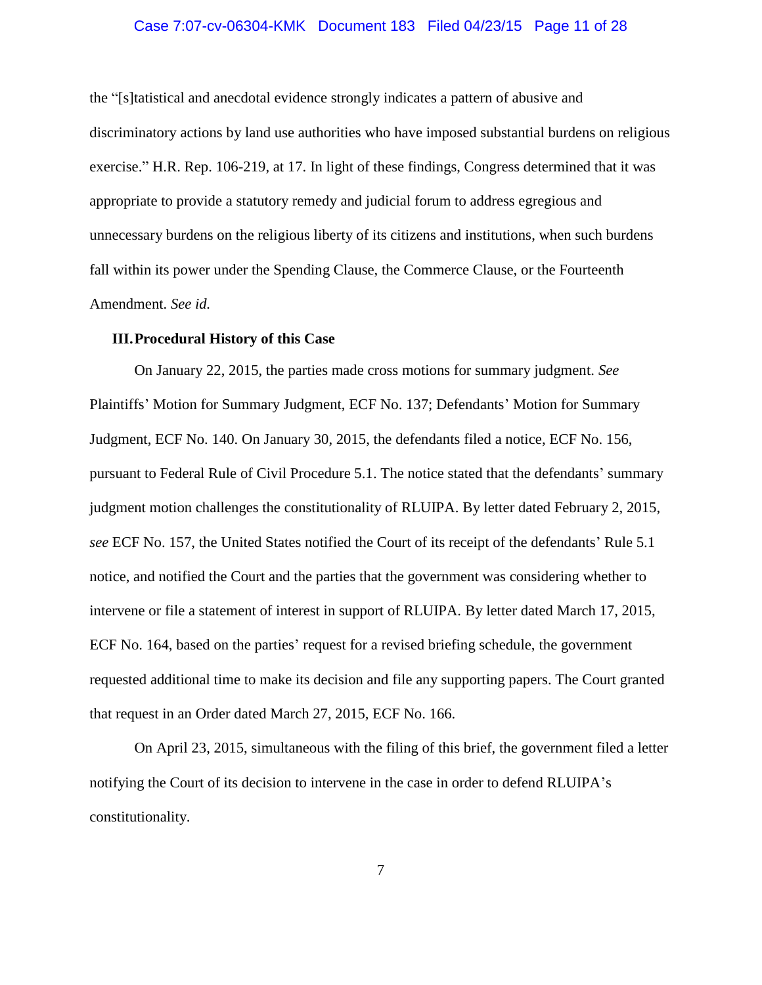### Case 7:07-cv-06304-KMK Document 183 Filed 04/23/15 Page 11 of 28

the "[s]tatistical and anecdotal evidence strongly indicates a pattern of abusive and discriminatory actions by land use authorities who have imposed substantial burdens on religious exercise." H.R. Rep. 106-219, at 17. In light of these findings, Congress determined that it was appropriate to provide a statutory remedy and judicial forum to address egregious and unnecessary burdens on the religious liberty of its citizens and institutions, when such burdens fall within its power under the Spending Clause, the Commerce Clause, or the Fourteenth Amendment. *See id.*

### <span id="page-10-0"></span>**III.Procedural History of this Case**

On January 22, 2015, the parties made cross motions for summary judgment. *See* Plaintiffs' Motion for Summary Judgment, ECF No. 137; Defendants' Motion for Summary Judgment, ECF No. 140. On January 30, 2015, the defendants filed a notice, ECF No. 156, pursuant to Federal Rule of Civil Procedure 5.1. The notice stated that the defendants' summary judgment motion challenges the constitutionality of RLUIPA. By letter dated February 2, 2015, *see* ECF No. 157, the United States notified the Court of its receipt of the defendants' Rule 5.1 notice, and notified the Court and the parties that the government was considering whether to intervene or file a statement of interest in support of RLUIPA. By letter dated March 17, 2015, ECF No. 164, based on the parties' request for a revised briefing schedule, the government requested additional time to make its decision and file any supporting papers. The Court granted that request in an Order dated March 27, 2015, ECF No. 166.

On April 23, 2015, simultaneous with the filing of this brief, the government filed a letter notifying the Court of its decision to intervene in the case in order to defend RLUIPA's constitutionality.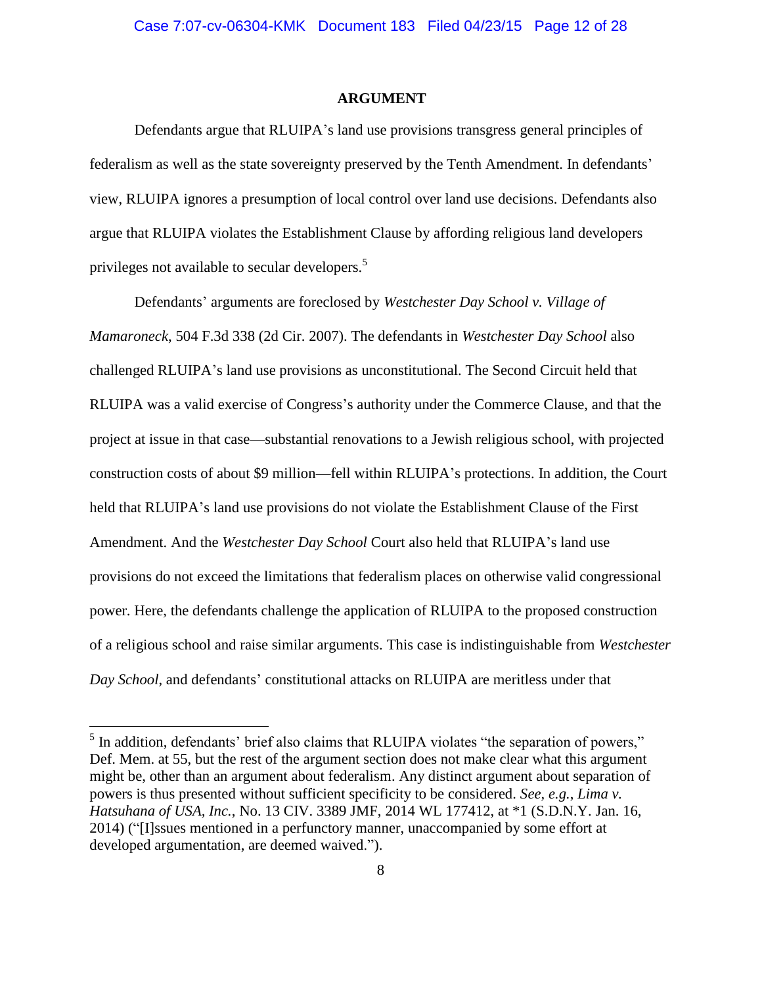### **ARGUMENT**

<span id="page-11-0"></span>Defendants argue that RLUIPA's land use provisions transgress general principles of federalism as well as the state sovereignty preserved by the Tenth Amendment. In defendants' view, RLUIPA ignores a presumption of local control over land use decisions. Defendants also argue that RLUIPA violates the Establishment Clause by affording religious land developers privileges not available to secular developers.<sup>5</sup>

Defendants' arguments are foreclosed by *Westchester Day School v. Village of Mamaroneck*, 504 F.3d 338 (2d Cir. 2007). The defendants in *Westchester Day School* also challenged RLUIPA's land use provisions as unconstitutional. The Second Circuit held that RLUIPA was a valid exercise of Congress's authority under the Commerce Clause, and that the project at issue in that case—substantial renovations to a Jewish religious school, with projected construction costs of about \$9 million—fell within RLUIPA's protections. In addition, the Court held that RLUIPA's land use provisions do not violate the Establishment Clause of the First Amendment. And the *Westchester Day School* Court also held that RLUIPA's land use provisions do not exceed the limitations that federalism places on otherwise valid congressional power. Here, the defendants challenge the application of RLUIPA to the proposed construction of a religious school and raise similar arguments. This case is indistinguishable from *Westchester Day School*, and defendants' constitutional attacks on RLUIPA are meritless under that

 $<sup>5</sup>$  In addition, defendants' brief also claims that RLUIPA violates "the separation of powers,"</sup> Def. Mem. at 55, but the rest of the argument section does not make clear what this argument might be, other than an argument about federalism. Any distinct argument about separation of powers is thus presented without sufficient specificity to be considered. *See, e.g.*, *Lima v. Hatsuhana of USA, Inc.*, No. 13 CIV. 3389 JMF, 2014 WL 177412, at \*1 (S.D.N.Y. Jan. 16, 2014) ("[I]ssues mentioned in a perfunctory manner, unaccompanied by some effort at developed argumentation, are deemed waived.").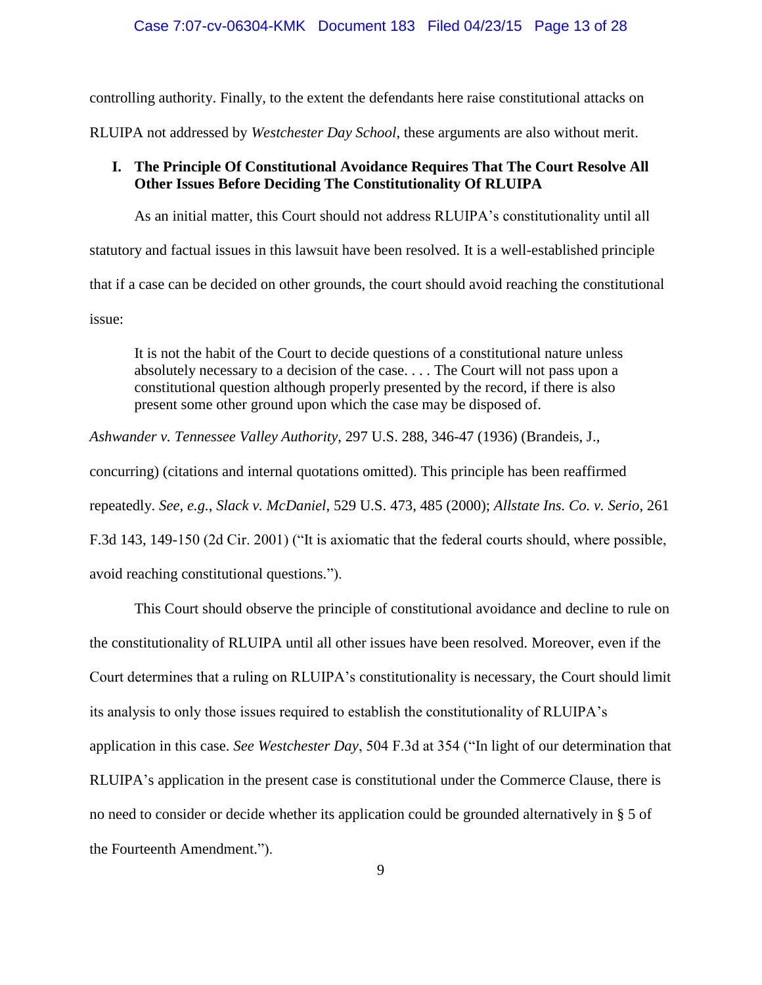# Case 7:07-cv-06304-KMK Document 183 Filed 04/23/15 Page 13 of 28

controlling authority. Finally, to the extent the defendants here raise constitutional attacks on

RLUIPA not addressed by *Westchester Day School*, these arguments are also without merit.

### <span id="page-12-0"></span>**I. The Principle Of Constitutional Avoidance Requires That The Court Resolve All Other Issues Before Deciding The Constitutionality Of RLUIPA**

As an initial matter, this Court should not address RLUIPA's constitutionality until all statutory and factual issues in this lawsuit have been resolved. It is a well-established principle that if a case can be decided on other grounds, the court should avoid reaching the constitutional issue:

It is not the habit of the Court to decide questions of a constitutional nature unless absolutely necessary to a decision of the case. . . . The Court will not pass upon a constitutional question although properly presented by the record, if there is also present some other ground upon which the case may be disposed of.

*Ashwander v. Tennessee Valley Authority*, 297 U.S. 288, 346-47 (1936) (Brandeis, J.,

concurring) (citations and internal quotations omitted). This principle has been reaffirmed

repeatedly. *See, e.g.*, *Slack v. McDaniel*, 529 U.S. 473, 485 (2000); *Allstate Ins. Co. v. Serio*, 261

F.3d 143, 149-150 (2d Cir. 2001) ("It is axiomatic that the federal courts should, where possible,

avoid reaching constitutional questions.").

This Court should observe the principle of constitutional avoidance and decline to rule on the constitutionality of RLUIPA until all other issues have been resolved. Moreover, even if the Court determines that a ruling on RLUIPA's constitutionality is necessary, the Court should limit its analysis to only those issues required to establish the constitutionality of RLUIPA's application in this case. *See Westchester Day*, 504 F.3d at 354 ("In light of our determination that RLUIPA's application in the present case is constitutional under the Commerce Clause, there is no need to consider or decide whether its application could be grounded alternatively in § 5 of the Fourteenth Amendment.").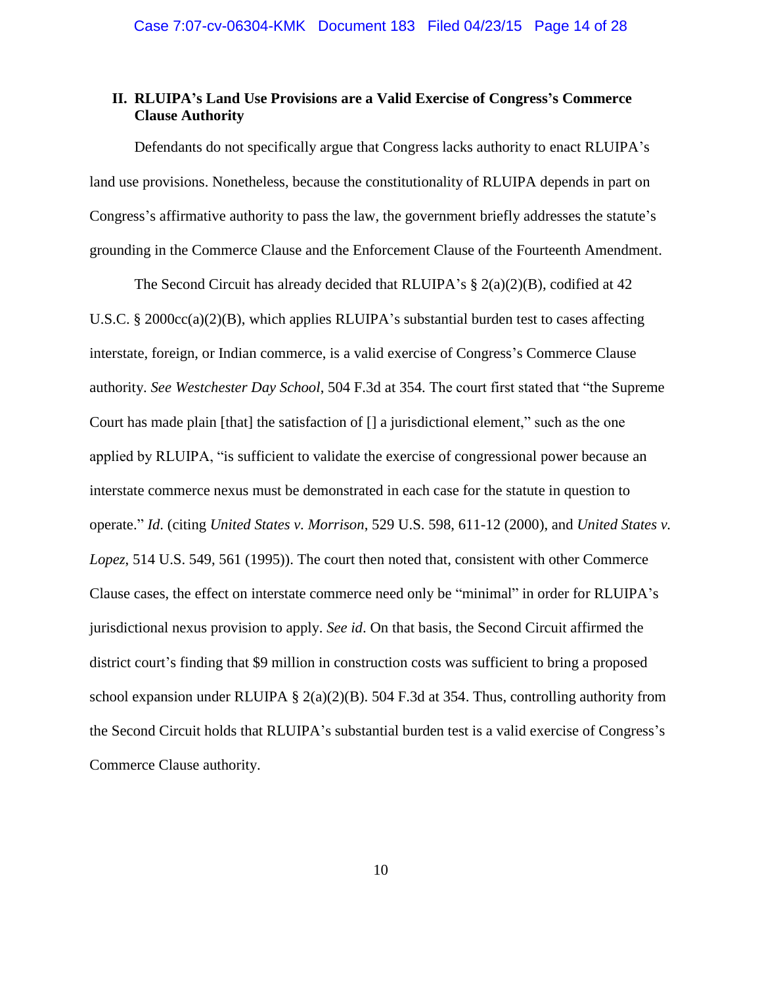### <span id="page-13-0"></span>**II. RLUIPA's Land Use Provisions are a Valid Exercise of Congress's Commerce Clause Authority**

Defendants do not specifically argue that Congress lacks authority to enact RLUIPA's land use provisions. Nonetheless, because the constitutionality of RLUIPA depends in part on Congress's affirmative authority to pass the law, the government briefly addresses the statute's grounding in the Commerce Clause and the Enforcement Clause of the Fourteenth Amendment.

The Second Circuit has already decided that RLUIPA's  $\S 2(a)(2)(B)$ , codified at 42 U.S.C. § 2000 $\text{cc}(a)(2)(B)$ , which applies RLUIPA's substantial burden test to cases affecting interstate, foreign, or Indian commerce, is a valid exercise of Congress's Commerce Clause authority. *See Westchester Day School*, 504 F.3d at 354. The court first stated that "the Supreme Court has made plain [that] the satisfaction of [] a jurisdictional element," such as the one applied by RLUIPA, "is sufficient to validate the exercise of congressional power because an interstate commerce nexus must be demonstrated in each case for the statute in question to operate." *Id*. (citing *United States v. Morrison*, 529 U.S. 598, 611-12 (2000), and *United States v. Lopez*, 514 U.S. 549, 561 (1995)). The court then noted that, consistent with other Commerce Clause cases, the effect on interstate commerce need only be "minimal" in order for RLUIPA's jurisdictional nexus provision to apply. *See id*. On that basis, the Second Circuit affirmed the district court's finding that \$9 million in construction costs was sufficient to bring a proposed school expansion under RLUIPA  $\S$  2(a)(2)(B). 504 F.3d at 354. Thus, controlling authority from the Second Circuit holds that RLUIPA's substantial burden test is a valid exercise of Congress's Commerce Clause authority.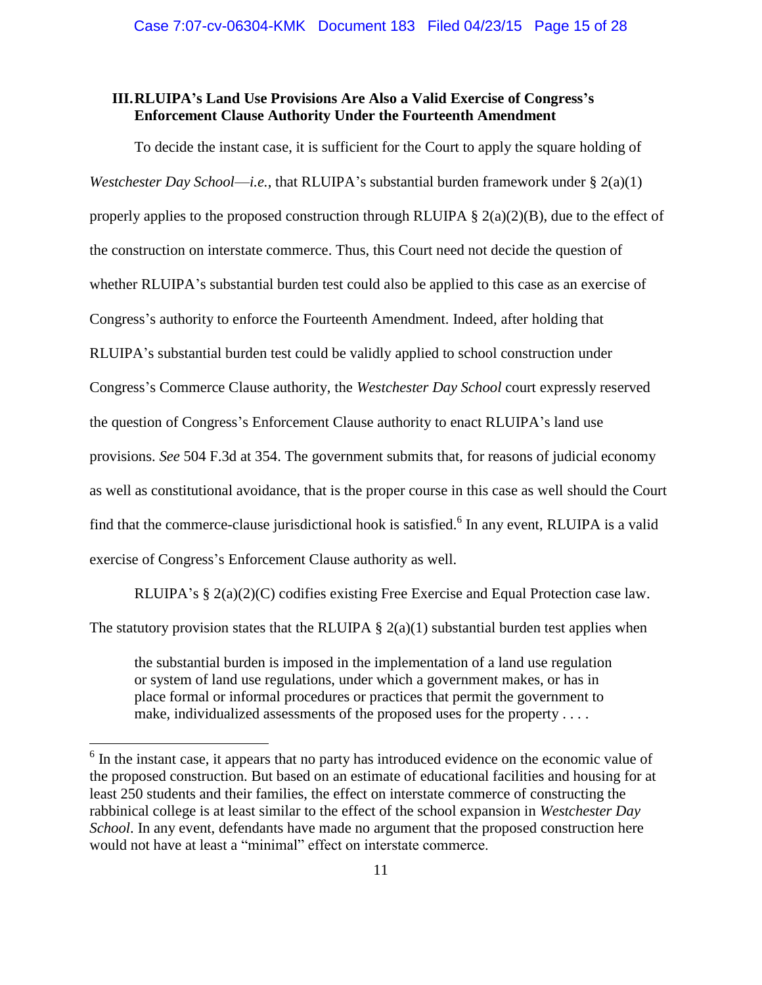## <span id="page-14-0"></span>**III.RLUIPA's Land Use Provisions Are Also a Valid Exercise of Congress's Enforcement Clause Authority Under the Fourteenth Amendment**

To decide the instant case, it is sufficient for the Court to apply the square holding of *Westchester Day School*—*i.e.*, that RLUIPA's substantial burden framework under § 2(a)(1) properly applies to the proposed construction through RLUIPA  $\S$  2(a)(2)(B), due to the effect of the construction on interstate commerce. Thus, this Court need not decide the question of whether RLUIPA's substantial burden test could also be applied to this case as an exercise of Congress's authority to enforce the Fourteenth Amendment. Indeed, after holding that RLUIPA's substantial burden test could be validly applied to school construction under Congress's Commerce Clause authority, the *Westchester Day School* court expressly reserved the question of Congress's Enforcement Clause authority to enact RLUIPA's land use provisions. *See* 504 F.3d at 354. The government submits that, for reasons of judicial economy as well as constitutional avoidance, that is the proper course in this case as well should the Court find that the commerce-clause jurisdictional hook is satisfied.<sup>6</sup> In any event, RLUIPA is a valid exercise of Congress's Enforcement Clause authority as well.

RLUIPA's § 2(a)(2)(C) codifies existing Free Exercise and Equal Protection case law.

The statutory provision states that the RLUIPA  $\S$  2(a)(1) substantial burden test applies when

the substantial burden is imposed in the implementation of a land use regulation or system of land use regulations, under which a government makes, or has in place formal or informal procedures or practices that permit the government to make, individualized assessments of the proposed uses for the property . . . .

<sup>&</sup>lt;sup>6</sup> In the instant case, it appears that no party has introduced evidence on the economic value of the proposed construction. But based on an estimate of educational facilities and housing for at least 250 students and their families, the effect on interstate commerce of constructing the rabbinical college is at least similar to the effect of the school expansion in *Westchester Day School*. In any event, defendants have made no argument that the proposed construction here would not have at least a "minimal" effect on interstate commerce.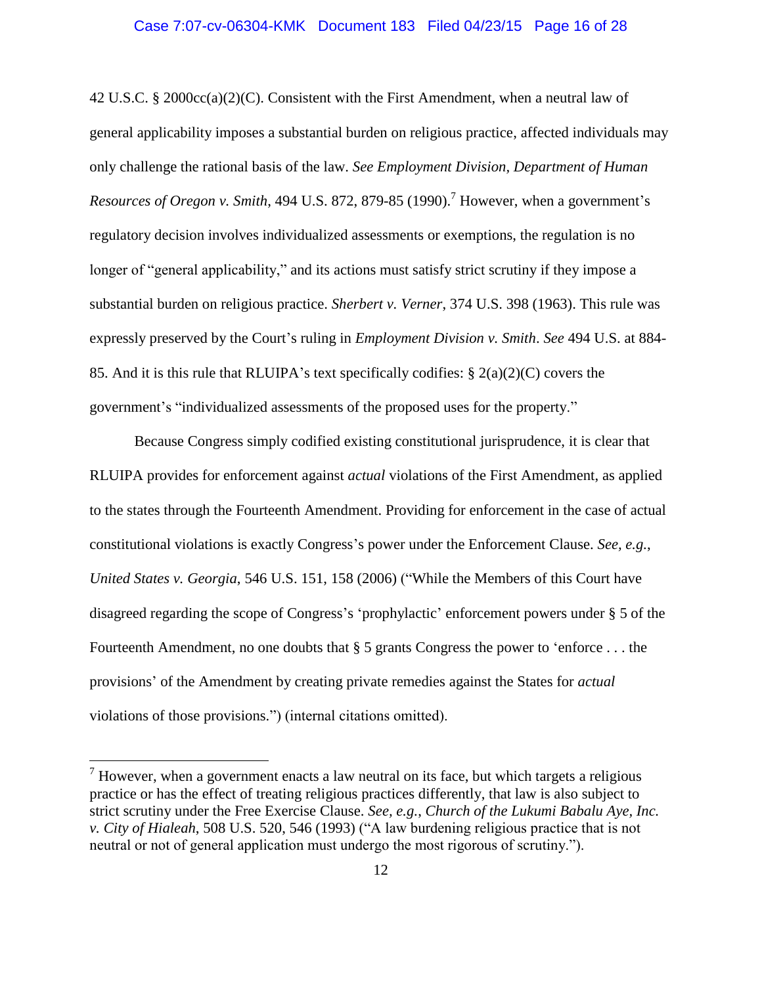### Case 7:07-cv-06304-KMK Document 183 Filed 04/23/15 Page 16 of 28

42 U.S.C. § 2000 $\text{cc}(a)(2)(C)$ . Consistent with the First Amendment, when a neutral law of general applicability imposes a substantial burden on religious practice, affected individuals may only challenge the rational basis of the law. *See Employment Division, Department of Human Resources of Oregon v. Smith*, 494 U.S. 872, 879-85 (1990). <sup>7</sup> However, when a government's regulatory decision involves individualized assessments or exemptions, the regulation is no longer of "general applicability," and its actions must satisfy strict scrutiny if they impose a substantial burden on religious practice. *Sherbert v. Verner*, 374 U.S. 398 (1963). This rule was expressly preserved by the Court's ruling in *Employment Division v. Smith*. *See* 494 U.S. at 884- 85. And it is this rule that RLUIPA's text specifically codifies: § 2(a)(2)(C) covers the government's "individualized assessments of the proposed uses for the property."

Because Congress simply codified existing constitutional jurisprudence, it is clear that RLUIPA provides for enforcement against *actual* violations of the First Amendment, as applied to the states through the Fourteenth Amendment. Providing for enforcement in the case of actual constitutional violations is exactly Congress's power under the Enforcement Clause. *See, e.g.*, *United States v. Georgia*, 546 U.S. 151, 158 (2006) ("While the Members of this Court have disagreed regarding the scope of Congress's 'prophylactic' enforcement powers under § 5 of the Fourteenth Amendment, no one doubts that § 5 grants Congress the power to 'enforce . . . the provisions' of the Amendment by creating private remedies against the States for *actual* violations of those provisions.") (internal citations omitted).

 $<sup>7</sup>$  However, when a government enacts a law neutral on its face, but which targets a religious</sup> practice or has the effect of treating religious practices differently, that law is also subject to strict scrutiny under the Free Exercise Clause. *See, e.g.*, *Church of the Lukumi Babalu Aye, Inc. v. City of Hialeah*, 508 U.S. 520, 546 (1993) ("A law burdening religious practice that is not neutral or not of general application must undergo the most rigorous of scrutiny.").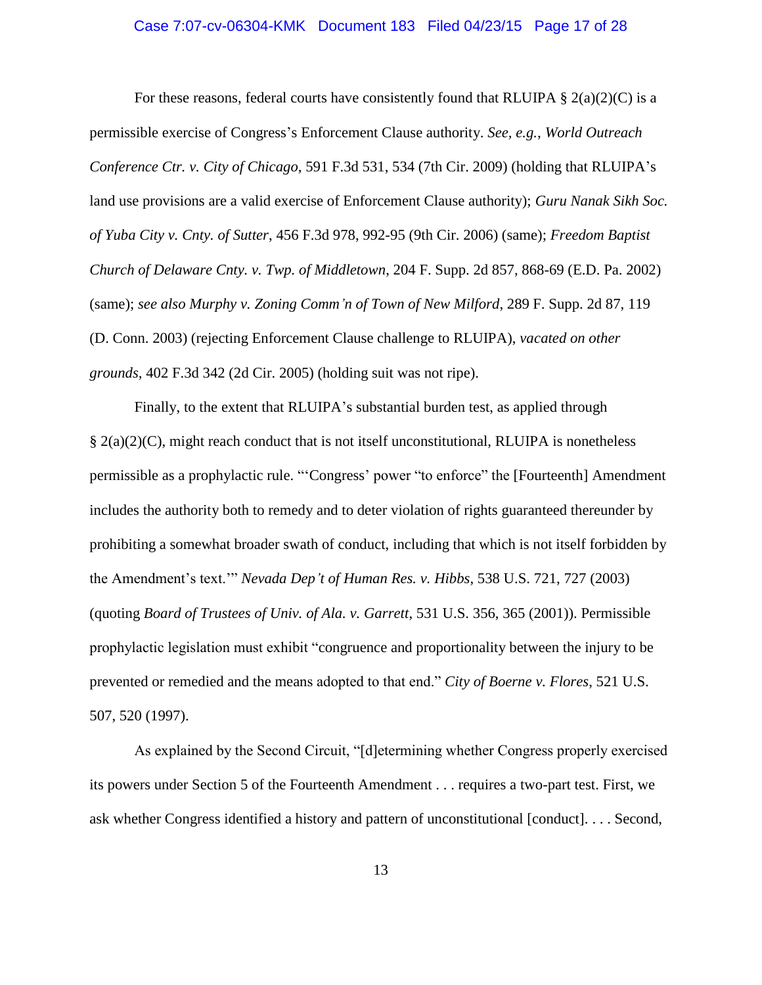### Case 7:07-cv-06304-KMK Document 183 Filed 04/23/15 Page 17 of 28

For these reasons, federal courts have consistently found that RLUIPA  $\S 2(a)(2)(C)$  is a permissible exercise of Congress's Enforcement Clause authority. *See, e.g.*, *World Outreach Conference Ctr. v. City of Chicago*, 591 F.3d 531, 534 (7th Cir. 2009) (holding that RLUIPA's land use provisions are a valid exercise of Enforcement Clause authority); *Guru Nanak Sikh Soc. of Yuba City v. Cnty. of Sutter*, 456 F.3d 978, 992-95 (9th Cir. 2006) (same); *Freedom Baptist Church of Delaware Cnty. v. Twp. of Middletown*, 204 F. Supp. 2d 857, 868-69 (E.D. Pa. 2002) (same); *see also Murphy v. Zoning Comm'n of Town of New Milford*, 289 F. Supp. 2d 87, 119 (D. Conn. 2003) (rejecting Enforcement Clause challenge to RLUIPA), *vacated on other grounds,* 402 F.3d 342 (2d Cir. 2005) (holding suit was not ripe).

Finally, to the extent that RLUIPA's substantial burden test, as applied through  $\S$  2(a)(2)(C), might reach conduct that is not itself unconstitutional, RLUIPA is nonetheless permissible as a prophylactic rule. "'Congress' power "to enforce" the [Fourteenth] Amendment includes the authority both to remedy and to deter violation of rights guaranteed thereunder by prohibiting a somewhat broader swath of conduct, including that which is not itself forbidden by the Amendment's text.'" *Nevada Dep't of Human Res. v. Hibbs*, 538 U.S. 721, 727 (2003) (quoting *Board of Trustees of Univ. of Ala. v. Garrett*, 531 U.S. 356, 365 (2001)). Permissible prophylactic legislation must exhibit "congruence and proportionality between the injury to be prevented or remedied and the means adopted to that end." *City of Boerne v. Flores*, 521 U.S. 507, 520 (1997).

As explained by the Second Circuit, "[d]etermining whether Congress properly exercised its powers under Section 5 of the Fourteenth Amendment . . . requires a two-part test. First, we ask whether Congress identified a history and pattern of unconstitutional [conduct]. . . . Second,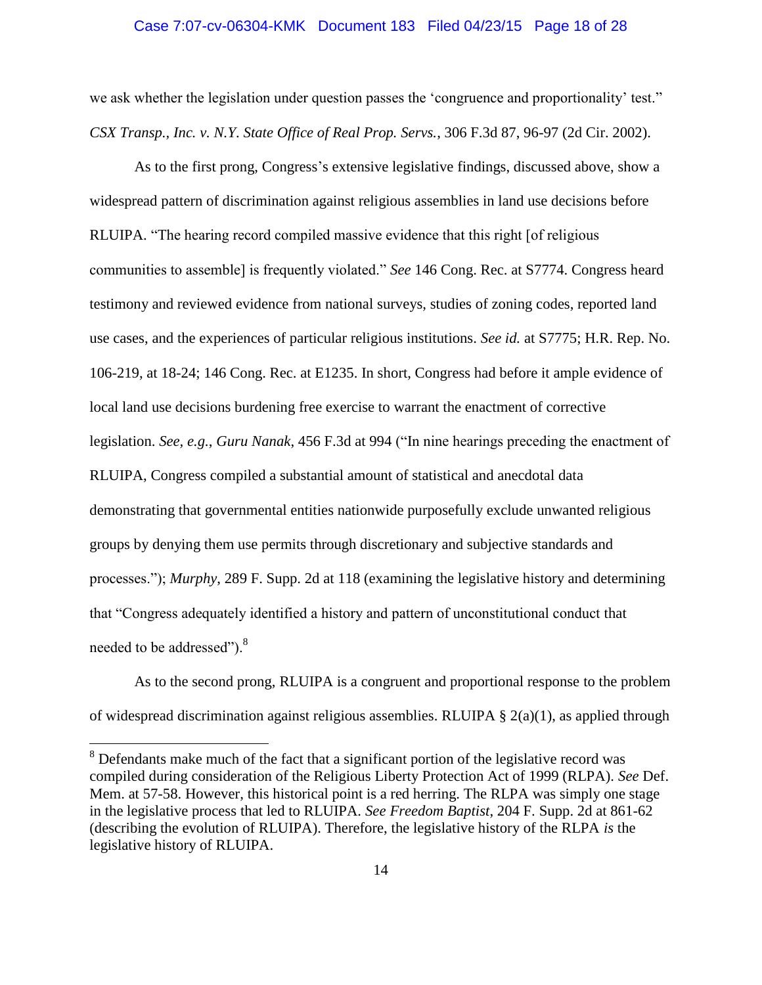#### Case 7:07-cv-06304-KMK Document 183 Filed 04/23/15 Page 18 of 28

we ask whether the legislation under question passes the 'congruence and proportionality' test." *CSX Transp., Inc. v. N.Y. State Office of Real Prop. Servs.*, 306 F.3d 87, 96-97 (2d Cir. 2002).

As to the first prong, Congress's extensive legislative findings, discussed above, show a widespread pattern of discrimination against religious assemblies in land use decisions before RLUIPA. "The hearing record compiled massive evidence that this right [of religious communities to assemble] is frequently violated." *See* 146 Cong. Rec. at S7774. Congress heard testimony and reviewed evidence from national surveys, studies of zoning codes, reported land use cases, and the experiences of particular religious institutions. *See id.* at S7775; H.R. Rep. No. 106-219, at 18-24; 146 Cong. Rec. at E1235. In short, Congress had before it ample evidence of local land use decisions burdening free exercise to warrant the enactment of corrective legislation. *See, e.g.*, *Guru Nanak*, 456 F.3d at 994 ("In nine hearings preceding the enactment of RLUIPA, Congress compiled a substantial amount of statistical and anecdotal data demonstrating that governmental entities nationwide purposefully exclude unwanted religious groups by denying them use permits through discretionary and subjective standards and processes."); *Murphy*, 289 F. Supp. 2d at 118 (examining the legislative history and determining that "Congress adequately identified a history and pattern of unconstitutional conduct that needed to be addressed").<sup>8</sup>

As to the second prong, RLUIPA is a congruent and proportional response to the problem of widespread discrimination against religious assemblies. RLUIPA  $\S 2(a)(1)$ , as applied through

<sup>&</sup>lt;sup>8</sup> Defendants make much of the fact that a significant portion of the legislative record was compiled during consideration of the Religious Liberty Protection Act of 1999 (RLPA). *See* Def. Mem. at 57-58. However, this historical point is a red herring. The RLPA was simply one stage in the legislative process that led to RLUIPA. *See Freedom Baptist*, 204 F. Supp. 2d at 861-62 (describing the evolution of RLUIPA). Therefore, the legislative history of the RLPA *is* the legislative history of RLUIPA.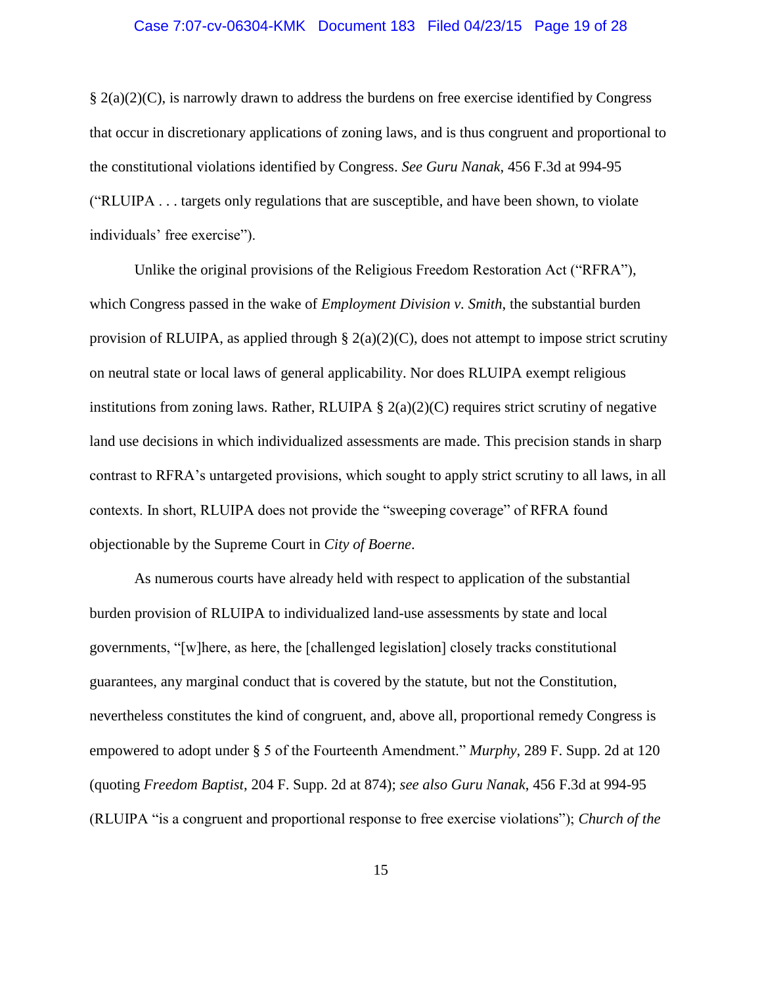### Case 7:07-cv-06304-KMK Document 183 Filed 04/23/15 Page 19 of 28

§ 2(a)(2)(C), is narrowly drawn to address the burdens on free exercise identified by Congress that occur in discretionary applications of zoning laws, and is thus congruent and proportional to the constitutional violations identified by Congress. *See Guru Nanak*, 456 F.3d at 994-95 ("RLUIPA . . . targets only regulations that are susceptible, and have been shown, to violate individuals' free exercise").

Unlike the original provisions of the Religious Freedom Restoration Act ("RFRA"), which Congress passed in the wake of *Employment Division v. Smith*, the substantial burden provision of RLUIPA, as applied through §  $2(a)(2)(C)$ , does not attempt to impose strict scrutiny on neutral state or local laws of general applicability. Nor does RLUIPA exempt religious institutions from zoning laws. Rather, RLUIPA  $\S 2(a)(2)(C)$  requires strict scrutiny of negative land use decisions in which individualized assessments are made. This precision stands in sharp contrast to RFRA's untargeted provisions, which sought to apply strict scrutiny to all laws, in all contexts. In short, RLUIPA does not provide the "sweeping coverage" of RFRA found objectionable by the Supreme Court in *City of Boerne*.

As numerous courts have already held with respect to application of the substantial burden provision of RLUIPA to individualized land-use assessments by state and local governments, "[w]here, as here, the [challenged legislation] closely tracks constitutional guarantees, any marginal conduct that is covered by the statute, but not the Constitution, nevertheless constitutes the kind of congruent, and, above all, proportional remedy Congress is empowered to adopt under § 5 of the Fourteenth Amendment." *Murphy*, 289 F. Supp. 2d at 120 (quoting *Freedom Baptist*, 204 F. Supp. 2d at 874); *see also Guru Nanak*, 456 F.3d at 994-95 (RLUIPA "is a congruent and proportional response to free exercise violations"); *Church of the*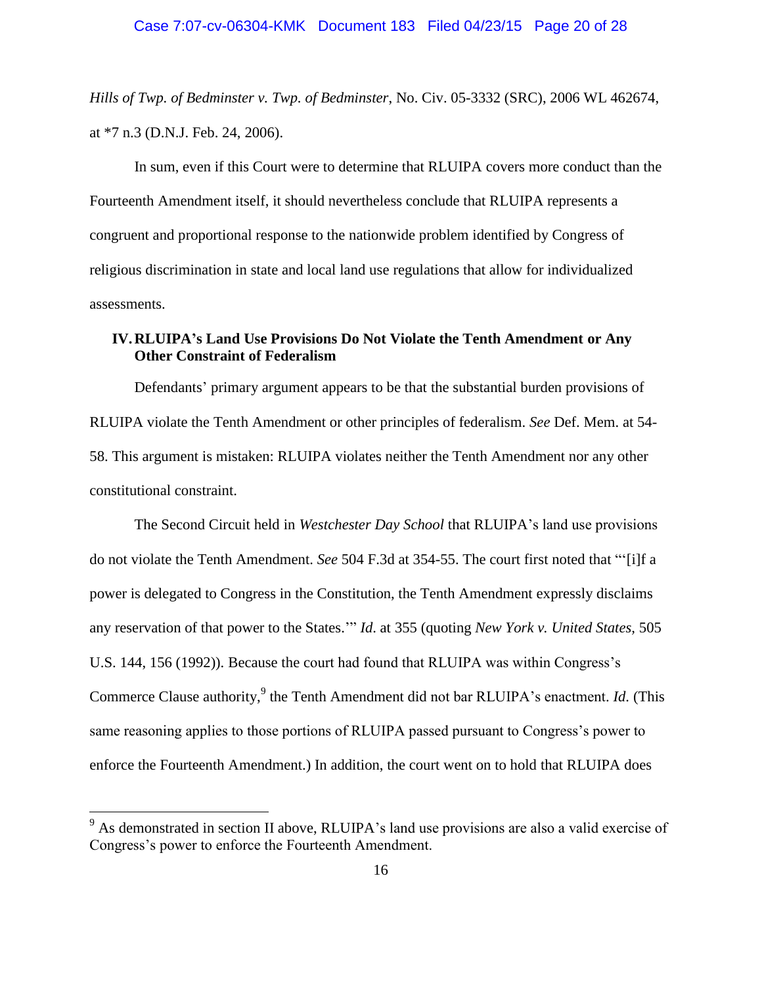*Hills of Twp. of Bedminster v. Twp. of Bedminster*, No. Civ. 05-3332 (SRC), 2006 WL 462674, at \*7 n.3 (D.N.J. Feb. 24, 2006).

In sum, even if this Court were to determine that RLUIPA covers more conduct than the Fourteenth Amendment itself, it should nevertheless conclude that RLUIPA represents a congruent and proportional response to the nationwide problem identified by Congress of religious discrimination in state and local land use regulations that allow for individualized assessments.

### <span id="page-19-0"></span>**IV.RLUIPA's Land Use Provisions Do Not Violate the Tenth Amendment or Any Other Constraint of Federalism**

Defendants' primary argument appears to be that the substantial burden provisions of RLUIPA violate the Tenth Amendment or other principles of federalism. *See* Def. Mem. at 54- 58. This argument is mistaken: RLUIPA violates neither the Tenth Amendment nor any other constitutional constraint.

The Second Circuit held in *Westchester Day School* that RLUIPA's land use provisions do not violate the Tenth Amendment. *See* 504 F.3d at 354-55. The court first noted that "'[i]f a power is delegated to Congress in the Constitution, the Tenth Amendment expressly disclaims any reservation of that power to the States.'" *Id*. at 355 (quoting *New York v. United States,* 505 U.S. 144, 156 (1992)). Because the court had found that RLUIPA was within Congress's Commerce Clause authority,<sup>9</sup> the Tenth Amendment did not bar RLUIPA's enactment. *Id*. (This same reasoning applies to those portions of RLUIPA passed pursuant to Congress's power to enforce the Fourteenth Amendment.) In addition, the court went on to hold that RLUIPA does

<sup>&</sup>lt;sup>9</sup> As demonstrated in section II above, RLUIPA's land use provisions are also a valid exercise of Congress's power to enforce the Fourteenth Amendment.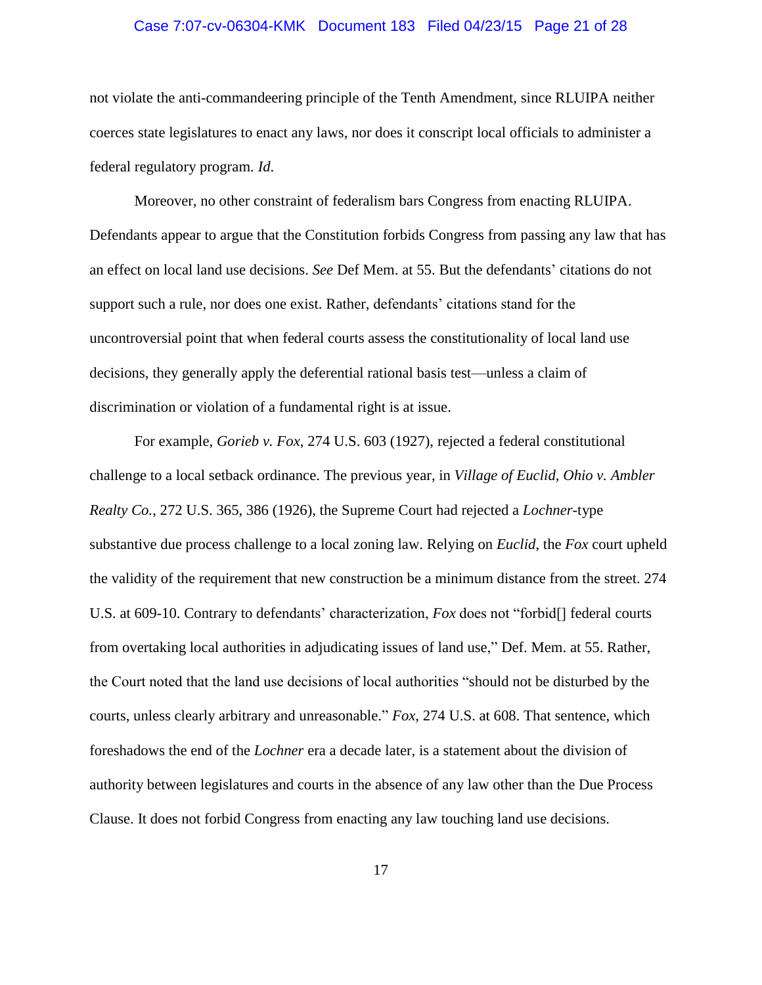### Case 7:07-cv-06304-KMK Document 183 Filed 04/23/15 Page 21 of 28

not violate the anti-commandeering principle of the Tenth Amendment, since RLUIPA neither coerces state legislatures to enact any laws, nor does it conscript local officials to administer a federal regulatory program. *Id*.

Moreover, no other constraint of federalism bars Congress from enacting RLUIPA. Defendants appear to argue that the Constitution forbids Congress from passing any law that has an effect on local land use decisions. *See* Def Mem. at 55. But the defendants' citations do not support such a rule, nor does one exist. Rather, defendants' citations stand for the uncontroversial point that when federal courts assess the constitutionality of local land use decisions, they generally apply the deferential rational basis test—unless a claim of discrimination or violation of a fundamental right is at issue.

For example, *Gorieb v. Fox*, 274 U.S. 603 (1927), rejected a federal constitutional challenge to a local setback ordinance. The previous year, in *Village of Euclid, Ohio v. Ambler Realty Co.*, 272 U.S. 365, 386 (1926), the Supreme Court had rejected a *Lochner*-type substantive due process challenge to a local zoning law. Relying on *Euclid*, the *Fox* court upheld the validity of the requirement that new construction be a minimum distance from the street. 274 U.S. at 609-10. Contrary to defendants' characterization, *Fox* does not "forbid[] federal courts from overtaking local authorities in adjudicating issues of land use," Def. Mem. at 55. Rather, the Court noted that the land use decisions of local authorities "should not be disturbed by the courts, unless clearly arbitrary and unreasonable." *Fox*, 274 U.S. at 608. That sentence, which foreshadows the end of the *Lochner* era a decade later, is a statement about the division of authority between legislatures and courts in the absence of any law other than the Due Process Clause. It does not forbid Congress from enacting any law touching land use decisions.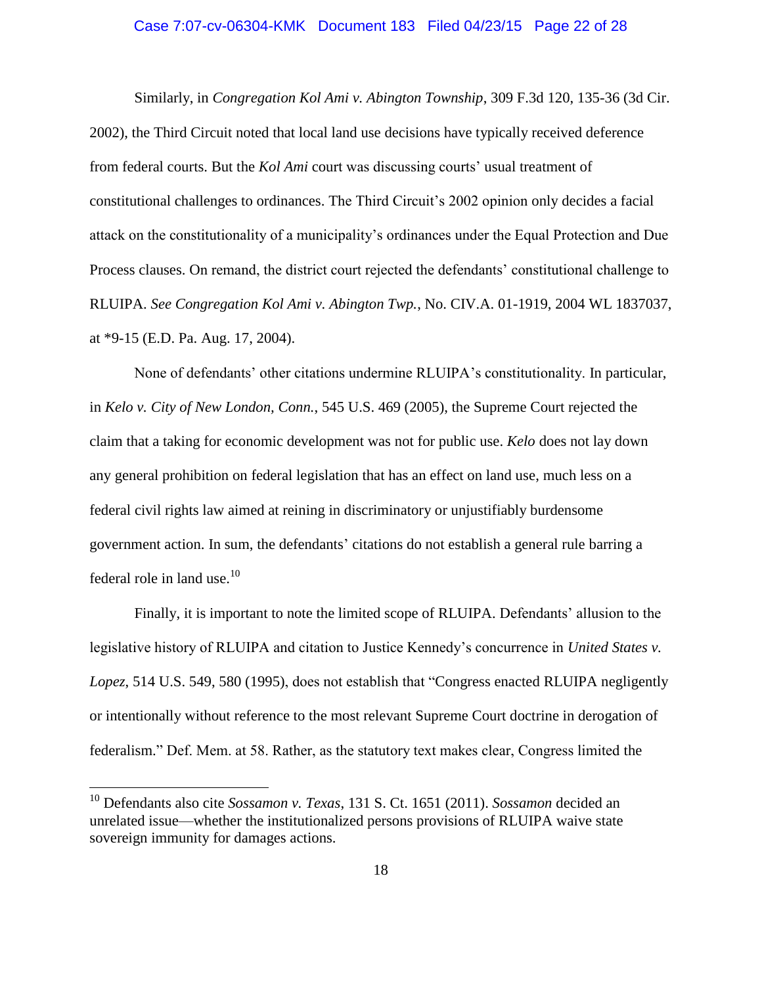### Case 7:07-cv-06304-KMK Document 183 Filed 04/23/15 Page 22 of 28

Similarly, in *Congregation Kol Ami v. Abington Township*, 309 F.3d 120, 135-36 (3d Cir. 2002), the Third Circuit noted that local land use decisions have typically received deference from federal courts. But the *Kol Ami* court was discussing courts' usual treatment of constitutional challenges to ordinances. The Third Circuit's 2002 opinion only decides a facial attack on the constitutionality of a municipality's ordinances under the Equal Protection and Due Process clauses. On remand, the district court rejected the defendants' constitutional challenge to RLUIPA. *See Congregation Kol Ami v. Abington Twp.*, No. CIV.A. 01-1919, 2004 WL 1837037, at \*9-15 (E.D. Pa. Aug. 17, 2004).

None of defendants' other citations undermine RLUIPA's constitutionality. In particular, in *Kelo v. City of New London, Conn.*, 545 U.S. 469 (2005), the Supreme Court rejected the claim that a taking for economic development was not for public use. *Kelo* does not lay down any general prohibition on federal legislation that has an effect on land use, much less on a federal civil rights law aimed at reining in discriminatory or unjustifiably burdensome government action. In sum, the defendants' citations do not establish a general rule barring a federal role in land use.<sup>10</sup>

Finally, it is important to note the limited scope of RLUIPA. Defendants' allusion to the legislative history of RLUIPA and citation to Justice Kennedy's concurrence in *United States v. Lopez*, 514 U.S. 549, 580 (1995), does not establish that "Congress enacted RLUIPA negligently or intentionally without reference to the most relevant Supreme Court doctrine in derogation of federalism." Def. Mem. at 58. Rather, as the statutory text makes clear, Congress limited the

<sup>10</sup> Defendants also cite *Sossamon v. Texas*, 131 S. Ct. 1651 (2011). *Sossamon* decided an unrelated issue—whether the institutionalized persons provisions of RLUIPA waive state sovereign immunity for damages actions.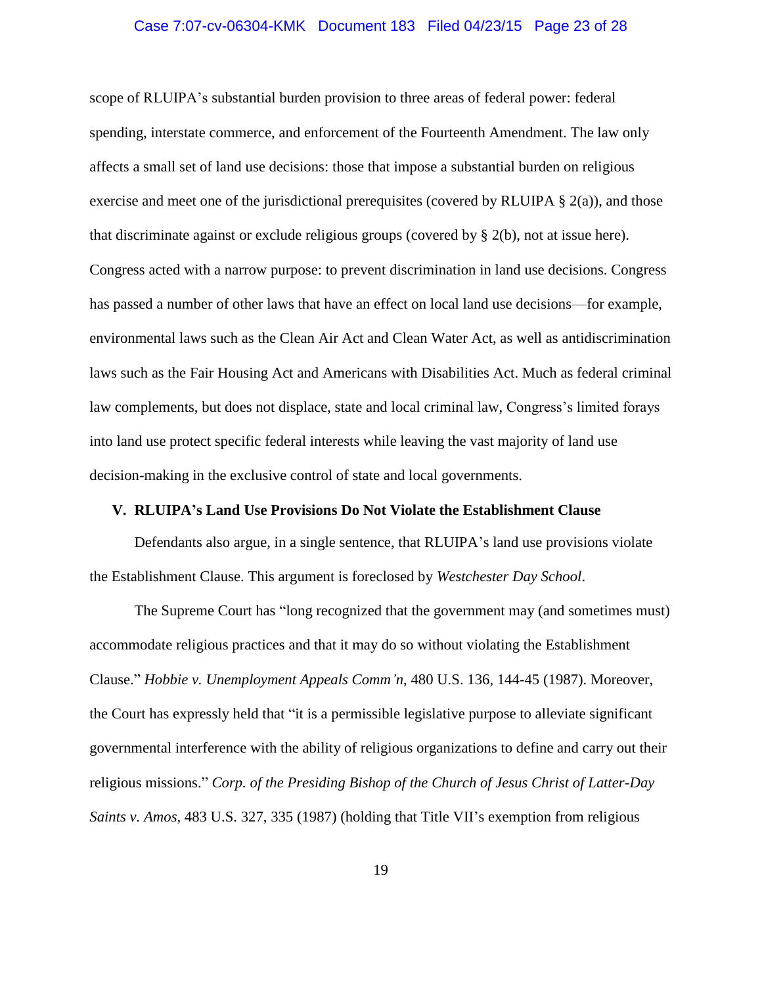### Case 7:07-cv-06304-KMK Document 183 Filed 04/23/15 Page 23 of 28

scope of RLUIPA's substantial burden provision to three areas of federal power: federal spending, interstate commerce, and enforcement of the Fourteenth Amendment. The law only affects a small set of land use decisions: those that impose a substantial burden on religious exercise and meet one of the jurisdictional prerequisites (covered by RLUIPA  $\S$  2(a)), and those that discriminate against or exclude religious groups (covered by § 2(b), not at issue here). Congress acted with a narrow purpose: to prevent discrimination in land use decisions. Congress has passed a number of other laws that have an effect on local land use decisions—for example, environmental laws such as the Clean Air Act and Clean Water Act, as well as antidiscrimination laws such as the Fair Housing Act and Americans with Disabilities Act. Much as federal criminal law complements, but does not displace, state and local criminal law, Congress's limited forays into land use protect specific federal interests while leaving the vast majority of land use decision-making in the exclusive control of state and local governments.

### <span id="page-22-0"></span>**V. RLUIPA's Land Use Provisions Do Not Violate the Establishment Clause**

Defendants also argue, in a single sentence, that RLUIPA's land use provisions violate the Establishment Clause. This argument is foreclosed by *Westchester Day School*.

The Supreme Court has "long recognized that the government may (and sometimes must) accommodate religious practices and that it may do so without violating the Establishment Clause." *Hobbie v. Unemployment Appeals Comm'n*, 480 U.S. 136, 144-45 (1987). Moreover, the Court has expressly held that "it is a permissible legislative purpose to alleviate significant governmental interference with the ability of religious organizations to define and carry out their religious missions." *Corp. of the Presiding Bishop of the Church of Jesus Christ of Latter-Day Saints v. Amos*, 483 U.S. 327, 335 (1987) (holding that Title VII's exemption from religious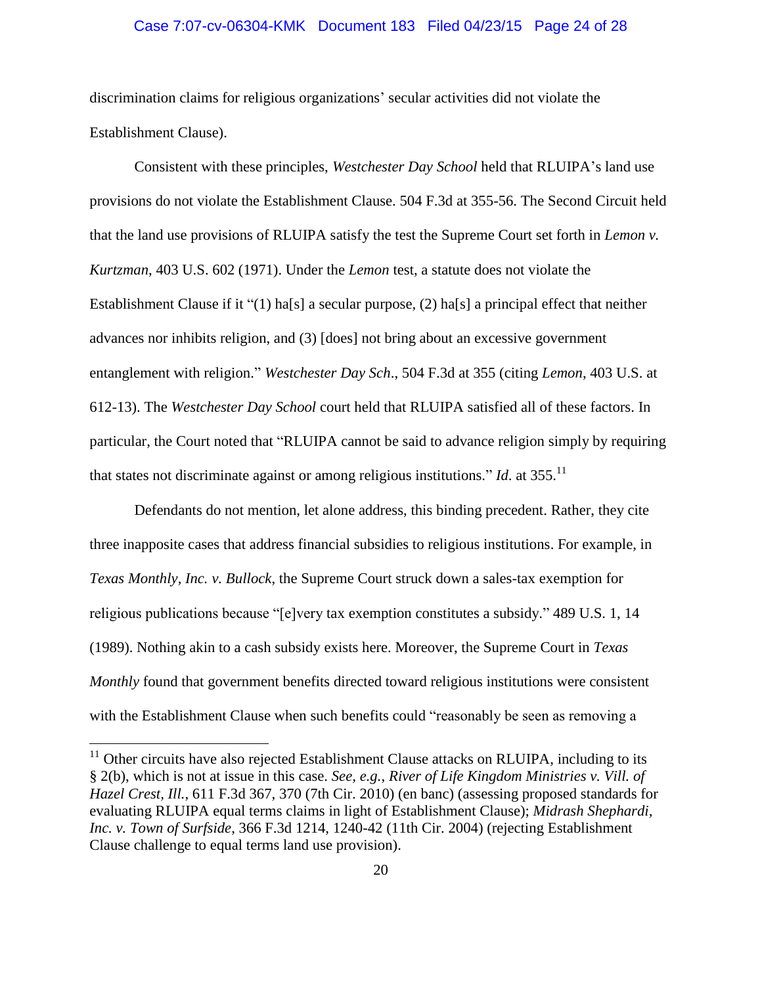### Case 7:07-cv-06304-KMK Document 183 Filed 04/23/15 Page 24 of 28

discrimination claims for religious organizations' secular activities did not violate the Establishment Clause).

Consistent with these principles, *Westchester Day School* held that RLUIPA's land use provisions do not violate the Establishment Clause. 504 F.3d at 355-56. The Second Circuit held that the land use provisions of RLUIPA satisfy the test the Supreme Court set forth in *Lemon v. Kurtzman*, 403 U.S. 602 (1971). Under the *Lemon* test, a statute does not violate the Establishment Clause if it "(1) ha[s] a secular purpose, (2) ha[s] a principal effect that neither advances nor inhibits religion, and (3) [does] not bring about an excessive government entanglement with religion." *Westchester Day Sch*., 504 F.3d at 355 (citing *Lemon*, 403 U.S. at 612-13). The *Westchester Day School* court held that RLUIPA satisfied all of these factors. In particular, the Court noted that "RLUIPA cannot be said to advance religion simply by requiring that states not discriminate against or among religious institutions." *Id.* at 355.<sup>11</sup>

Defendants do not mention, let alone address, this binding precedent. Rather, they cite three inapposite cases that address financial subsidies to religious institutions. For example, in *Texas Monthly, Inc. v. Bullock*, the Supreme Court struck down a sales-tax exemption for religious publications because "[e]very tax exemption constitutes a subsidy." 489 U.S. 1, 14 (1989). Nothing akin to a cash subsidy exists here. Moreover, the Supreme Court in *Texas Monthly* found that government benefits directed toward religious institutions were consistent with the Establishment Clause when such benefits could "reasonably be seen as removing a

 $11$  Other circuits have also rejected Establishment Clause attacks on RLUIPA, including to its § 2(b), which is not at issue in this case. *See, e.g.*, *River of Life Kingdom Ministries v. Vill. of Hazel Crest, Ill.*, 611 F.3d 367, 370 (7th Cir. 2010) (en banc) (assessing proposed standards for evaluating RLUIPA equal terms claims in light of Establishment Clause); *Midrash Shephardi, Inc. v. Town of Surfside*, 366 F.3d 1214, 1240-42 (11th Cir. 2004) (rejecting Establishment Clause challenge to equal terms land use provision).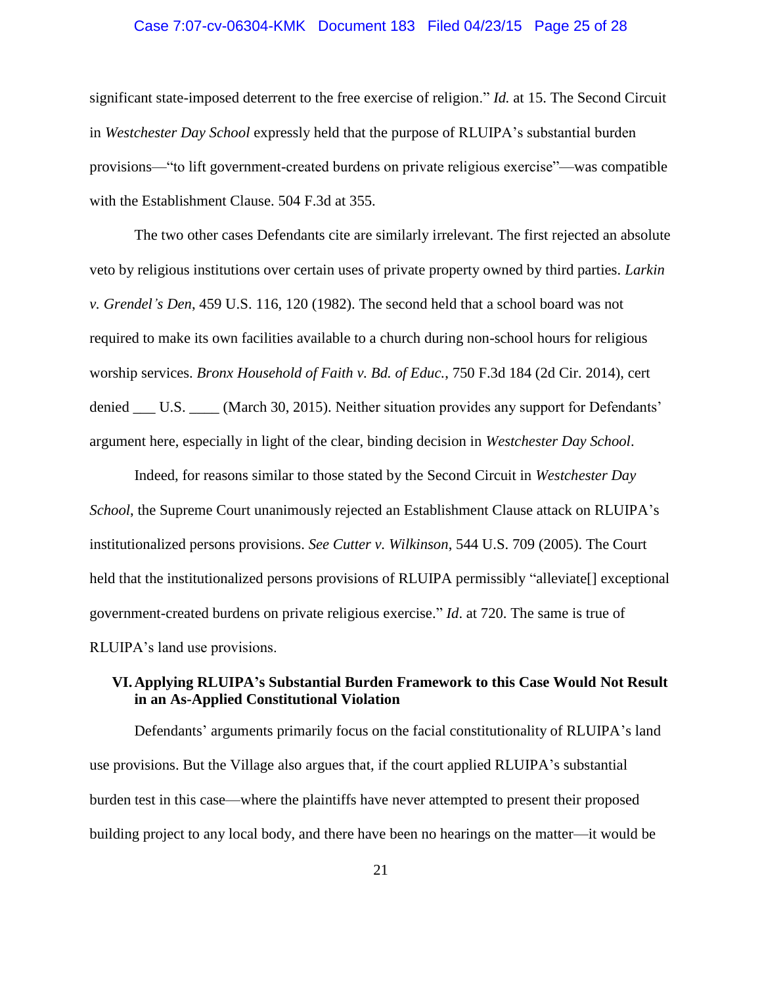### Case 7:07-cv-06304-KMK Document 183 Filed 04/23/15 Page 25 of 28

significant state-imposed deterrent to the free exercise of religion." *Id.* at 15. The Second Circuit in *Westchester Day School* expressly held that the purpose of RLUIPA's substantial burden provisions—"to lift government-created burdens on private religious exercise"—was compatible with the Establishment Clause. 504 F.3d at 355.

The two other cases Defendants cite are similarly irrelevant. The first rejected an absolute veto by religious institutions over certain uses of private property owned by third parties. *Larkin v. Grendel's Den*, 459 U.S. 116, 120 (1982). The second held that a school board was not required to make its own facilities available to a church during non-school hours for religious worship services. *Bronx Household of Faith v. Bd. of Educ.*, 750 F.3d 184 (2d Cir. 2014), cert denied \_\_\_ U.S. \_\_\_\_ (March 30, 2015). Neither situation provides any support for Defendants' argument here, especially in light of the clear, binding decision in *Westchester Day School*.

Indeed, for reasons similar to those stated by the Second Circuit in *Westchester Day School*, the Supreme Court unanimously rejected an Establishment Clause attack on RLUIPA's institutionalized persons provisions. *See Cutter v. Wilkinson*, 544 U.S. 709 (2005). The Court held that the institutionalized persons provisions of RLUIPA permissibly "alleviate" exceptional government-created burdens on private religious exercise." *Id*. at 720. The same is true of RLUIPA's land use provisions.

### <span id="page-24-0"></span>**VI.Applying RLUIPA's Substantial Burden Framework to this Case Would Not Result in an As-Applied Constitutional Violation**

Defendants' arguments primarily focus on the facial constitutionality of RLUIPA's land use provisions. But the Village also argues that, if the court applied RLUIPA's substantial burden test in this case—where the plaintiffs have never attempted to present their proposed building project to any local body, and there have been no hearings on the matter—it would be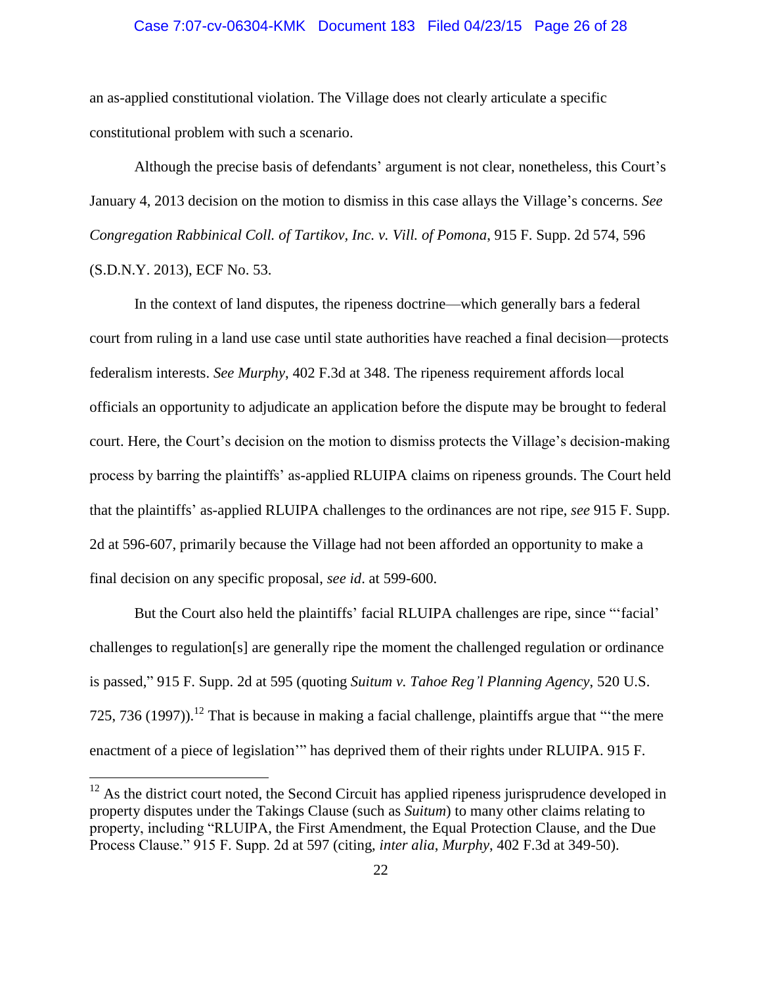### Case 7:07-cv-06304-KMK Document 183 Filed 04/23/15 Page 26 of 28

an as-applied constitutional violation. The Village does not clearly articulate a specific constitutional problem with such a scenario.

Although the precise basis of defendants' argument is not clear, nonetheless, this Court's January 4, 2013 decision on the motion to dismiss in this case allays the Village's concerns. *See Congregation Rabbinical Coll. of Tartikov, Inc. v. Vill. of Pomona*, 915 F. Supp. 2d 574, 596 (S.D.N.Y. 2013), ECF No. 53.

In the context of land disputes, the ripeness doctrine—which generally bars a federal court from ruling in a land use case until state authorities have reached a final decision—protects federalism interests. *See Murphy*, 402 F.3d at 348. The ripeness requirement affords local officials an opportunity to adjudicate an application before the dispute may be brought to federal court. Here, the Court's decision on the motion to dismiss protects the Village's decision-making process by barring the plaintiffs' as-applied RLUIPA claims on ripeness grounds. The Court held that the plaintiffs' as-applied RLUIPA challenges to the ordinances are not ripe, *see* 915 F. Supp. 2d at 596-607, primarily because the Village had not been afforded an opportunity to make a final decision on any specific proposal, *see id*. at 599-600.

But the Court also held the plaintiffs' facial RLUIPA challenges are ripe, since "'facial' challenges to regulation[s] are generally ripe the moment the challenged regulation or ordinance is passed," 915 F. Supp. 2d at 595 (quoting *Suitum v. Tahoe Reg'l Planning Agency*, 520 U.S. 725, 736 (1997)).<sup>12</sup> That is because in making a facial challenge, plaintiffs argue that "the mere enactment of a piece of legislation'" has deprived them of their rights under RLUIPA. 915 F.

 $12$  As the district court noted, the Second Circuit has applied ripeness jurisprudence developed in property disputes under the Takings Clause (such as *Suitum*) to many other claims relating to property, including "RLUIPA, the First Amendment, the Equal Protection Clause, and the Due Process Clause." 915 F. Supp. 2d at 597 (citing, *inter alia*, *Murphy*, 402 F.3d at 349-50).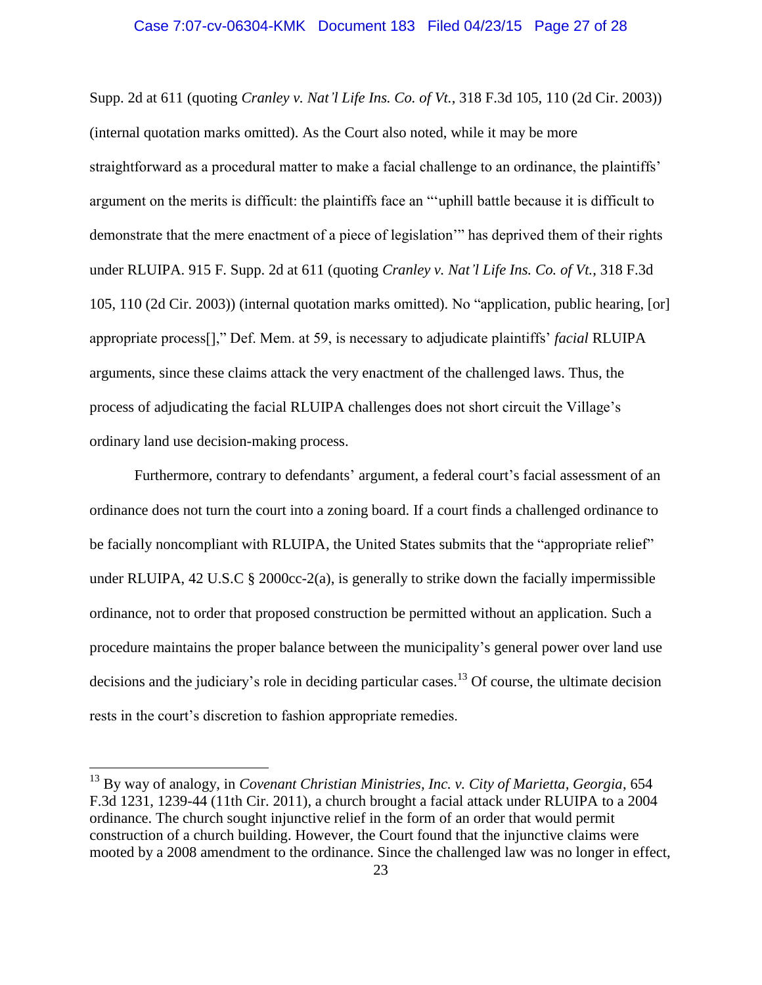#### Case 7:07-cv-06304-KMK Document 183 Filed 04/23/15 Page 27 of 28

Supp. 2d at 611 (quoting *Cranley v. Nat'l Life Ins. Co. of Vt.*, 318 F.3d 105, 110 (2d Cir. 2003)) (internal quotation marks omitted). As the Court also noted, while it may be more straightforward as a procedural matter to make a facial challenge to an ordinance, the plaintiffs' argument on the merits is difficult: the plaintiffs face an "'uphill battle because it is difficult to demonstrate that the mere enactment of a piece of legislation'" has deprived them of their rights under RLUIPA. 915 F. Supp. 2d at 611 (quoting *Cranley v. Nat'l Life Ins. Co. of Vt.*, 318 F.3d 105, 110 (2d Cir. 2003)) (internal quotation marks omitted). No "application, public hearing, [or] appropriate process[]," Def. Mem. at 59, is necessary to adjudicate plaintiffs' *facial* RLUIPA arguments, since these claims attack the very enactment of the challenged laws. Thus, the process of adjudicating the facial RLUIPA challenges does not short circuit the Village's ordinary land use decision-making process.

Furthermore, contrary to defendants' argument, a federal court's facial assessment of an ordinance does not turn the court into a zoning board. If a court finds a challenged ordinance to be facially noncompliant with RLUIPA, the United States submits that the "appropriate relief" under RLUIPA, 42 U.S.C  $\S$  2000cc-2(a), is generally to strike down the facially impermissible ordinance, not to order that proposed construction be permitted without an application. Such a procedure maintains the proper balance between the municipality's general power over land use decisions and the judiciary's role in deciding particular cases.<sup>13</sup> Of course, the ultimate decision rests in the court's discretion to fashion appropriate remedies.

<sup>13</sup> By way of analogy, in *Covenant Christian Ministries, Inc. v. City of Marietta, Georgia*, 654 F.3d 1231, 1239-44 (11th Cir. 2011), a church brought a facial attack under RLUIPA to a 2004 ordinance. The church sought injunctive relief in the form of an order that would permit construction of a church building. However, the Court found that the injunctive claims were mooted by a 2008 amendment to the ordinance. Since the challenged law was no longer in effect,